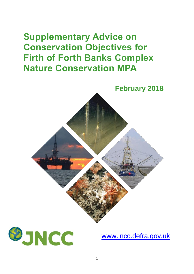# **Supplementary Advice on Conservation Objectives for Firth of Forth Banks Complex Nature Conservation MPA**





[www.jncc.defra.gov.uk](http://www.jncc.defra.gov.uk/)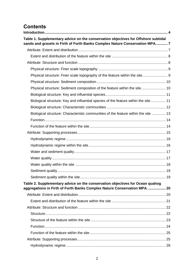# **Contents**

| Table 1. Supplementary advice on the conservation objectives for Offshore subtidal  |  |
|-------------------------------------------------------------------------------------|--|
| sands and gravels in Firth of Forth Banks Complex Nature Conservation MPA7          |  |
|                                                                                     |  |
|                                                                                     |  |
|                                                                                     |  |
|                                                                                     |  |
| Physical structure: Finer scale topography of the feature within the site 9         |  |
|                                                                                     |  |
| Physical structure: Sediment composition of the feature within the site 10          |  |
|                                                                                     |  |
| Biological structure: Key and influential species of the feature within the site 11 |  |
|                                                                                     |  |
| Biological structure: Characteristic communities of the feature within the site  13 |  |
|                                                                                     |  |
|                                                                                     |  |
|                                                                                     |  |
|                                                                                     |  |
|                                                                                     |  |
|                                                                                     |  |
|                                                                                     |  |
|                                                                                     |  |
|                                                                                     |  |
|                                                                                     |  |
| Table 2. Supplementary advice on the conservation objectives for Ocean quahog       |  |
| aggregations in Firth of Forth Banks Complex Nature Conservation MPA.  20           |  |
|                                                                                     |  |
|                                                                                     |  |
|                                                                                     |  |
|                                                                                     |  |
|                                                                                     |  |
|                                                                                     |  |
|                                                                                     |  |
|                                                                                     |  |
|                                                                                     |  |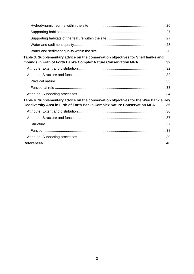| Table 3. Supplementary advice on the conservation objectives for Shelf banks and<br>mounds in Firth of Forth Banks Complex Nature Conservation MPA 32                 |
|-----------------------------------------------------------------------------------------------------------------------------------------------------------------------|
|                                                                                                                                                                       |
|                                                                                                                                                                       |
|                                                                                                                                                                       |
|                                                                                                                                                                       |
|                                                                                                                                                                       |
| Table 4. Supplementary advice on the conservation objectives for the Wee Bankie Key<br>Geodiversity Area in Firth of Forth Banks Complex Nature Conservation MPA.  36 |
|                                                                                                                                                                       |
|                                                                                                                                                                       |
|                                                                                                                                                                       |
|                                                                                                                                                                       |
|                                                                                                                                                                       |
|                                                                                                                                                                       |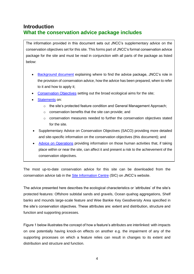# <span id="page-3-0"></span>**Introduction What the conservation advice package includes**

The information provided in this document sets out JNCC's supplementary advice on the conservation objectives set for this site. This forms part of JNCC's formal conservation advice package for the site and must be read in conjunction with all parts of the package as listed below:

- [Background](http://jncc.defra.gov.uk/pdf/FFBC_Background_v1.0.pdf) document explaining where to find the advice package, JNCC's role in the provision of conservation advice, how the advice has been prepared, when to refer to it and how to apply it;
- [Conservation Objectives](http://jncc.defra.gov.uk/pdf/FFBC_ConservationObjectives_v1.0.pdf) setting out the broad ecological aims for the site;
- [Statements](http://jncc.defra.gov.uk/pdf/FFBC_ConservationStatements_v1.0.pdf) on:
	- o the site's protected feature condition and General Management Approach;
	- o conservation benefits that the site can provide; and
	- o conservation measures needed to further the conservation objectives stated for the site.
- Supplementary Advice on Conservation Objectives (SACO) providing more detailed and site-specific information on the conservation objectives (this document); and
- [Advice on Operations](http://jncc.defra.gov.uk/pdf/FFBC_AdviceOnOperations_v1.0.xlsx) providing information on those human activities that, if taking place within or near the site, can affect it and present a risk to the achievement of the conservation objectives.

The most up-to-date conservation advice for this site can be downloaded from the conservation advice tab in the **Site Information Centre (SIC)** on JNCC's website.

The advice presented here describes the ecological characteristics or 'attributes' of the site's protected features: Offshore subtidal sands and gravels, Ocean quahog aggregations, Shelf banks and mounds large-scale feature and Wee Bankie Key Geodiversity Area specified in the site's conservation objectives. These attributes are: extent and distribution, structure and function and supporting processes.

Figure 1 below illustrates the concept of how a feature's attributes are interlinked: with impacts on one potentially having knock-on effects on another e.g. the impairment of any of the supporting processes on which a feature relies can result in changes to its extent and distribution and structure and function.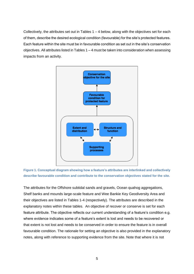Collectively, the attributes set out in Tables  $1 - 4$  below, along with the objectives set for each of them, describe the desired ecological condition (favourable) for the site's protected features. Each feature within the site must be in favourable condition as set out in the site's conservation objectives. All attributes listed in Tables 1 – 4 must be taken into consideration when assessing impacts from an activity.





The attributes for the Offshore subtidal sands and gravels, Ocean quahog aggregations, Shelf banks and mounds large-scale feature and Wee Bankie Key Geodiversity Area and their objectives are listed in Tables 1-4 (respectively). The attributes are described in the explanatory notes within these tables. An objective of recover or conserve is set for each feature attribute. The objective reflects our current understanding of a feature's condition e.g. where evidence indicates some of a feature's extent is lost and needs to be recovered or that extent is not lost and needs to be conserved in order to ensure the feature is in overall favourable condition. The rationale for setting an objective is also provided in the explanatory notes, along with reference to supporting evidence from the site. Note that where it is not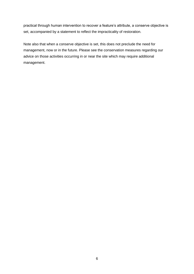practical through human intervention to recover a feature's attribute, a conserve objective is set, accompanied by a statement to reflect the impracticality of restoration.

Note also that when a conserve objective is set, this does not preclude the need for management, now or in the future. Please see the conservation measures regarding our advice on those activities occurring in or near the site which may require additional management.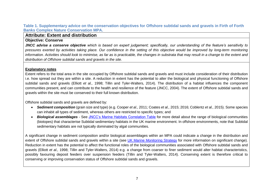<span id="page-6-2"></span>**Table 1. Supplementary advice on the conservation objectives for Offshore subtidal sands and gravels in Firth of Forth Banks Complex Nature Conservation MPA.**

# **Attribute: Extent and distribution**

#### **Objective: Conserve**

*JNCC advise a conserve objective which is based on expert judgement; specifically, our understanding of the feature's sensitivity to pressures exerted by activities taking place. Our confidence in the setting of this objective would be improved by long-term monitoring information. Activities should look to minimise, as far as is practicable, the changes in substrata that may result in a change to the extent and distribution of Offshore subtidal sands and gravels in the site.*

#### **Explanatory notes**

Extent refers to the total area in the site occupied by Offshore subtidal sands and gravels and must include consideration of their distribution i.e. how spread out they are within a site. A reduction in extent has the potential to alter the biological and physical functioning of Offshore subtidal sands and gravels (Elliott *et al.,* 1998; Tillin and Tyler-Walters, 2014). The distribution of a habitat influences the component communities present, and can contribute to the health and resilience of the feature (JNCC, 2004). The extent of Offshore subtidal sands and gravels within the site must be conserved to their full known distribution.

<span id="page-6-0"></span>Offshore subtidal sands and gravels are defined by:

- *Sediment composition* (grain size and type) (e.g. Cooper *et al.,* 2011; Coates *et al.,* 2015; 2016; Coblentz *et al.,* 2015). Some species can inhabit all types of sediment, whereas others are restricted to specific types; and
- <span id="page-6-1"></span>• *Biological assemblages* - See [JNCC's Marine Habitats Correlation Table](http://jncc.defra.gov.uk/page-6767) for more detail about the range of biological communities (biotopes) that characterise Subtidal sedimentary habitats in the UK marine environment. In offshore environments, note that Subtidal sedimentary habitats are not typically dominated by algal communities.

A significant change in sediment composition and/or biological assemblages within an MPA could indicate a change in the distribution and extent of Offshore subtidal sands and gravels within a site (see [UK Marine Monitoring Strategy](http://jncc.defra.gov.uk/pdf/Marine_Monitoring_Strategy_ver.4.1.pdf) for more information on significant change). Reduction in extent has the potential to affect the functional roles of the biological communities associated with Offshore subtidal sands and gravels (Elliott *et al.,* 1998; Tillin and Tyler-Walters, 2014) e.g. a change from coarser to finer sediment would alter habitat characteristics, possibly favouring deposit feeders over suspension feeders (Tillin and Tyler-Walters, 2014). Conserving extent is therefore critical to conserving or improving conservation status of Offshore subtidal sands and gravels.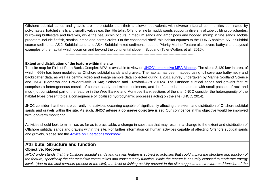Offshore subtidal sands and gravels are more stable than their shallower equivalents with diverse infaunal communities dominated by polychaetes; hatchet shells and small bivalves e.g. the little tellin. Offshore fine to muddy sands support a diversity of tube building polychaetes, burrowing brittlestars and bivalves, while the pea urchin occurs in medium sands and amphipods and hooded shrimp in fine sands. Mobile predators include flatfish, starfish, crabs and hermit crabs. On the continental shelf, this habitat equates to the EUNIS habitats A5.1: Subtidal coarse sediments, A5.2: Subtidal sand, and A5.4: Subtidal mixed sediments, but the Priority Marine Feature also covers bathyal and abyssal examples of the habitat which occur on and beyond the continental slope in Scotland (Tyler-Walters et al., 2016).

-----------------------------------------------------------------------------------------------------------

#### **Extent and distribution of the feature within the site**

The site map for Firth of Forth Banks Complex MPA is available to view on <u>JNCC's Interactive MPA Mapper</u>. The site is 2,130 km<sup>2</sup> in area, of which >99% has been modelled as Offshore subtidal sands and gravels. The habitat has been mapped using full coverage bathymetry and backscatter data, as well as benthic video and image sample data collected during a 2011 survey undertaken by Marine Scotland Science and JNCC (Sotheran and Crawford-Avis 2014a; Sotheran and Crawford-Avis 2014b). The Offshore subtidal sands and gravels feature comprises a heterogeneous mosaic of coarse, sandy and mixed sediments, and the feature is interspersed with small patches of rock and mud (not considered part of the feature) in the Wee Bankie and Montrose Bank sections of the site. JNCC consider the heterogeneity of the habitat types present to be a consequence of localised hydrodynamic processes acting on the site (JNCC, 2014).

JNCC consider that there are currently no activities occurring capable of significantly affecting the extent and distribution of Offshore subtidal sands and gravels within the site. As such, **JNCC advise a conserve objective** is set. Our confidence in this objective would be improved with long-term monitoring.

Activities should look to minimise, as far as is practicable, a change in substrata that may result in a change to the extent and distribution of Offshore subtidal sands and gravels within the site. For further information on human activities capable of affecting Offshore subtidal sands and gravels, please see the [Advice on Operations workbook.](http://jncc.defra.gov.uk/pdf/FFBC_AdviceOnOperations_v1.0.xlsx)

# <span id="page-7-0"></span>**Attribute: Structure and function**

#### **Objective: Recover**

<span id="page-7-1"></span>*JNCC understands that the Offshore subtidal sands and gravels feature is subject to activities that could impact the structure and function of the feature, specifically the characteristic communities and consequently function. While the feature is naturally exposed to moderate energy levels* (due to the tidal currents present in the site), the level of fishing activity present in the site suggests the structure and function of the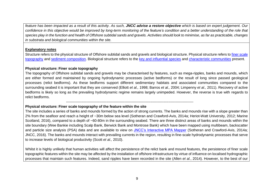*feature has been impacted as a result of this activity. As such, JNCC advise a restore objective which is based on expert judgement. Our confidence in this objective would be improved by long-term monitoring of the feature's condition and a better understanding of the role that species play in the function and health of Offshore subtidal sands and gravels. Activities should look to minimise, as far as practicable, changes in substrata and biological communities within the site.*

#### **Explanatory notes**

Structure refers to the physical structure of Offshore subtidal sands and gravels and biological structure. Physical structure refers to finer scale [topography](#page-8-2) and [sediment composition.](#page-9-2) Biological structure refers to the [key and influential species](#page-10-2) and [characteristic communities](#page-11-1) present.

#### <span id="page-8-3"></span>**Physical structure: Finer scale topography**

The topography of Offshore subtidal sands and gravels may be characterised by features, such as mega-ripples, banks and mounds, which are either formed and maintained by ongoing hydrodynamic processes (active bedforms) or the result of long since passed geological processes (relict bedforms). As these bedforms support different sedimentary habitats and associated communities compared to the surrounding seabed it is important that they are conserved (Elliott *et al.,* 1998; Barros *et al.,* 2004; Limpenny *et al.,* 2011). Recovery of active bedforms is likely so long as the prevailing hydrodynamic regime remains largely unimpeded. However, the reverse is true with regards to relict bedforms.

#### <span id="page-8-2"></span> ----------------------------------------------------------------------------------------------------------- **Physical structure: Finer scale topography of the feature within the site**

The site includes a series of banks and mounds formed by the action of strong currents. The banks and mounds rise with a slope greater than 2% from the seafloor and reach a height of ~30m below sea level (Sotheran and Crawford-Avis, 2014a; Heriot-Watt University, 2012; Marine Scotland, 2016), compared to a depth of ~60-80m in the surrounding seabed. There are three distinct areas of banks and mounds within the site boundary (Wee Bankie including Scalp Bank, Berwick Bank and Montrose Bank) which have been mapped using multibeam, backscatter and particle size analysis (PSA) data and are available to view on [JNCC's Interactive MPA Mapper](http://jncc.defra.gov.uk/default.aspx?page=5201&LAYERS=TwelveTS%2CUKCS%2CNCMPA_LSF%2CQOS_P_Poly%2CSandgrav_ncmpas%2CMolluscs_ncmpas%2CncMPA&zoom=8&Y=56.43221&X=-1.65938) (Sotheran and Crawford-Avis, 2014a; JNCC, 2016). The banks and mounds interact with prevailing currents in the region, resulting in fine-scale hydrodynamic processes that serve to increase levels of biological productivity (Scott *et al.,* 2010).

<span id="page-8-1"></span><span id="page-8-0"></span>Whilst it is highly unlikely that human activities will affect the persistence of the relict bank and mound features, the persistence of finer scale topographic features within the site may be affected by the installation of offshore infrastructure by virtue of influence on localised hydrographic processes that maintain such features. Indeed, sand ripples have been recorded in the site (Allen *et al.*, 2014). However, to the best of our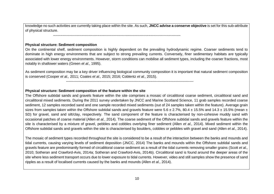knowledge no such activities are currently taking place within the site. As such, **JNCC advise a conserve objective** is set for this sub-attribute of physical structure.

<span id="page-9-2"></span>**Physical structure: Sediment composition** 

On the continental shelf, sediment composition is highly dependent on the prevailing hydrodynamic regime. Coarser sediments tend to dominate in high energy environments that are subject to strong prevailing currents. Conversely, finer sedimentary habitats are typically associated with lower energy environments. However, storm conditions can mobilise all sediment types, including the coarser fractions, most notably in shallower waters (Green *et al.,* 1995).

As sediment composition may be a key driver influencing biological community composition it is important that natural sediment composition is conserved (Cooper *et al.,* 2011; Coates *et al.,* 2015; 2016; Coblentz *et al.,* 2015).

-----------------------------------------------------------------------------------------------------------

#### **Physical structure: Sediment composition of the feature within the site**

-----------------------------------------------------------------------------------------------------------

The Offshore subtidal sands and gravels feature within the site comprises a mosaic of circalittoral coarse sediment, circalittoral sand and circalittoral mixed sediments. During the 2011 survey undertaken by JNCC and Marine Scotland Science, 11 grab samples recorded coarse sediment, 12 samples recorded sand and one sample recorded mixed sediments (out of 24 samples taken within the feature). Average grain sizes from samples taken within the Offshore subtidal sands and gravels feature were  $5.6 \pm 2.7\%$ . 80.4  $\pm$  15.5% and 14.3  $\pm$  15.5% (mean  $\pm$ SD) for gravel, sand and silt/clay, respectively. The sand component of the feature is characterised by non-cohesive muddy sand with occasional patches of coarse material (Allen *et al.*, 2014). The coarse sediment of the Offshore subtidal sands and gravels feature within the site is characterised by a mixture of gravel, pebbles and cobbles overlying finer sediment (Allen *et al.,* 2014). Mixed sediment within the Offshore subtidal sands and gravels within the site is characterised by boulders, cobbles or pebbles with gravel and sand (Allen *et al.,* 2014).

<span id="page-9-1"></span><span id="page-9-0"></span>The mosaic of sediment types recorded throughout the site is considered to be a result of the interaction between the banks and mounds and tidal currents, causing varying levels of sediment deposition (JNCC, 2014) The banks and mounds within the Offshore subtidal sands and gravels feature are predominantly formed of circalittoral coarse sediment as a result of the tidal currents removing smaller grains (Scott *et al.,* 2010; Sotheran and Crawford-Avis, 2014a; Sotheran and Crawford-Avis, 2014b). Circalittoral sand is found around the deeper areas of the site where less sediment transport occurs due to lower exposure to tidal currents. However, video and still samples show the presence of sand ripples as a result of localised currents caused by the banks and mounds (Allen *et al.,* 2014).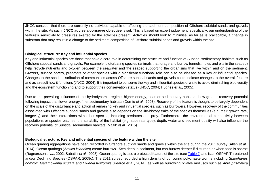JNCC consider that there are currently no activities capable of affecting the sediment composition of Offshore subtidal sands and gravels within the site. As such, **JNCC advise a conserve objective** is set. This is based on expert judgement; specifically, our understanding of the feature's sensitivity to pressures exerted by the activities present. Activities should look to minimise, as far as is practicable, a change in substrata that may result in a change to the sediment composition of Offshore subtidal sands and gravels within the site.

-----------------------------------------------------------------------------------------------------------

#### <span id="page-10-2"></span>**Biological structure: Key and influential species**

Key and influential species are those that have a core role in determining the structure and function of Subtidal sedimentary habitats such as Offshore subtidal sands and gravels. For example, bioturbating species (animals that forage and burrow tunnels, holes and pits in the seabed) help recycle nutrients and oxygen between the seawater and the seabed supporting the organisms that live within and on the sediment. Grazers, surface borers, predators or other species with a significant functional role can also be classed as a key or influential species. Changes to the spatial distribution of communities across Offshore subtidal sands and gravels could indicate changes to the overall feature and as a result how it functions (JNCC, 2004). It is important to conserve the key and influential species of a site to avoid diminishing biodiversity and the ecosystem functioning and to support their conservation status (JNCC, 2004; Hughes *et al.,* 2005).

Due to the prevailing influence of the hydrodynamic regime, higher energy, coarser sedimentary habitats show greater recovery potential following impact than lower energy, finer sedimentary habitats (Dernie *et al.,* 2003). Recovery of the feature is thought to be largely dependent on the scale of the disturbance and action of remaining key and influential species, such as burrowers. However, recovery of the communities associated with Offshore subtidal sands and gravels also depends on the life-history traits of the species themselves (e.g. their growth rate, longevity) and their interactions with other species, including predators and prey. Furthermore, the environmental connectivity between populations or species patches, the suitability of the habitat (e.g. substrate type), depth, water and sediment quality will also influence the recovery potential of Subtidal sedimentary habitats (Mazik *et al.,* 2015).

#### **Biological structure: Key and influential species of the feature within the site**

<span id="page-10-0"></span>----------------------------------------------------------------------------------------------------------

<span id="page-10-1"></span>Ocean quahog aggregations have been recorded in Offshore subtidal sands and gravels within the site during the 2011 survey (Allen *et al.,* 2014). Ocean quahogs (*Arctica islandica*) create burrows ~5cm deep in sediment, but can burrow deeper if disturbed or when food is sparse (Ragnarsson *et al.*, 2002; Sabatini *et al.*, 2008). Ocean quahog is also a protected feature of the site (see [Table 2\)](#page-19-2) and is an OSPAR Threatened and/or Declining Species (OSPAR, 2009c). The 2011 survey recorded a high density of burrowing polychaete worms including *Spiophanes bombyx, Galathowenia oculata* and *Owenia fusiformis* (Pearce *et al.,* 2014), as well as burrowing bivalve molluscs such as *Abra prismatica*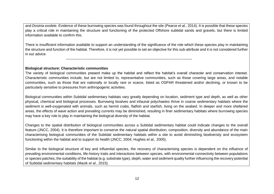and *Dosinia exolete.* Evidence of these burrowing species was found throughout the site (Pearce *et al.,* 2014). It is possible that these species play a critical role in maintaining the structure and functioning of the protected Offshore subtidal sands and gravels, but there is limited information available to confirm this.

There is insufficient information available to support an understanding of the significance of the role which these species play in maintaining the structure and function of the habitat. Therefore, it is not yet possible to set an objective for this sub-attribute and it is not considered further in our advice.

----------------------------------------------------------------------------------------------------------

#### <span id="page-11-1"></span>**Biological structure: Characteristic communities**

The variety of biological communities present make up the habitat and reflect the habitat's overall character and conservation interest. Characteristic communities include, but are not limited to, representative communities, such as those covering large areas, and notable communities, such as those that are nationally or locally rare or scarce, listed as OSPAR threatened and/or declining, or known to be particularly sensitive to pressures from anthropogenic activities.

Biological communities within Subtidal sedimentary habitats vary greatly depending on location, sediment type and depth, as well as other physical, chemical and biological processes. Burrowing bivalves and infaunal polychaetes thrive in coarse sedimentary habitats where the sediment is well-oxygenated with animals, such as hermit crabs, flatfish and starfish, living on the seabed. In deeper and more sheltered areas, the effects of wave action and prevailing currents may be diminished, resulting in finer sedimentary habitats where burrowing species may have a key role to play in maintaining the biological diversity of the habitat.

Changes to the spatial distribution of biological communities across a Subtidal sedimentary habitat could indicate changes to the overall feature (JNCC, 2004). It is therefore important to conserve the natural spatial distribution, composition, diversity and abundance of the main characterising biological communities of the Subtidal sedimentary habitats within a site to avoid diminishing biodiversity and ecosystem functioning within the habitat and to support its health (JNCC, 2004; Hughes *et al.,* 2005).

<span id="page-11-0"></span>Similar to the biological structure of key and influential species, the recovery of characterising species is dependent on the influence of prevailing environmental conditions, life-history traits and interactions between species, with environmental connectivity between populations or species patches, the suitability of the habitat (e.g. substrate type), depth, water and sediment quality further influencing the recovery potential of Subtidal sedimentary habitats (Mazik *et al.,* 2015).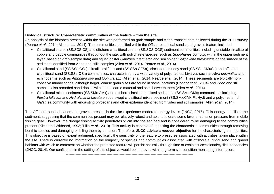#### **Biological structure: Characteristic communities of the feature within the site**

-----------------------------------------------------------------------------------------------------------

-----------------------------------------------------------------------------------------------------------

An analysis of the biotopes present within the site was performed on grab sample and video transect data collected during the 2011 survey (Pearce *et al*., 2014; Allen *et al.*, 2014). The communities identified within the Offshore subtidal sands and gravels feature included:

- Circalittoral coarse (SS.SCS.CS) and offshore circalittoral coarse (SS.SCS.OCS) sediment communities: including unstable circalittoral cobble and pebble communities throughout the site, with polychaete species, such as *Spiophanes bombyx*, within the upper sediment layer (based on grab sample data) and squat lobster *Galathea intermedia* and sea spider *Callipallene brevirostris* on the surface of the sediment identified from video and stills samples (Allen *et al.,* 2014; Pearce *et al*., 2014).
- Circalittoral sand (SS.SSa.CSa), circalittoral fine sand (SS.SSa.CFSa), circalittoral muddy sand (SS.SSa.CMuSa) and offshore circalittoral sand (SS.SSa.OSa) communities: characterised by a wide variety of polychaetes, bivalves such as *Abra prismatica* and echinoderms such as *Amphiura spp* and *Ophiura spp* (Allen *et al*., 2014; Pearce *et al*., 2014)*.* These sediments are typically noncohesive muddy sands, although larger, coarse grain sizes are found in some locations (Connor *et al.*, 2004) and video and still samples also recorded sand ripples with some coarse material and shell between them (Allen *et al*., 2014).
- Circalittoral mixed sediments (SS.SMx.CMx) and offshore circalittoral mixed sediments (SS.SMx.OMx) communities: including *Flustra foliacea* and *Hydrallmania falcata* on tide-swept circalittoral mixed sediment (SS.SMx.CMx.FluHyd) and a polychaete-rich *Galathea* community with encrusting bryozoans and other epifauna identified from video and still samples (Allen *et al*., 2014).

<span id="page-12-0"></span>The Offshore subtidal sands and gravels present in the site experience moderate energy levels (JNCC, 2016). This energy mobilises the sediment, suggesting that the communities present may be relatively robust and able to tolerate some level of abrasion pressure from mobile fishing gear. However, the dredge fishing activity penetrates >5cm into the sea bed and is considered to be damaging to the communities present (Klein and Witbaard, 1993; Tillin *et al*., 2010). This activity is capable of impacting the characteristic communities through removing benthic species and damaging or killing them by abrasion. Therefore, **JNCC advise a recover objective** for the characterising communities. This objective is based on expert judgment, specifically the sensitivity of the feature to pressures associated with activities taking place within the site. There is currently no information on the longevity of species and communities associated with offshore subtidal sand and gravel habitats with which to comment on whether the protected feature will persist naturally through time or exhibit successional/cyclical tendencies (JNCC, 2014). Our confidence in the setting of this objective would be improved with long-term site condition monitoring information.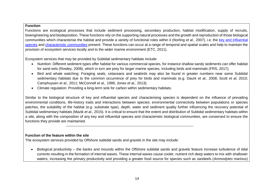#### **Function**

Functions are ecological processes that include sediment processing, secondary production, habitat modification, supply of recruits, bioengineering and biodeposition. These functions rely on the supporting natural processes and the growth and reproduction of those biological communities which characterise the habitat and provide a variety of functional roles within it (Norling *et al.,* 2007), i.e. the [key and influential](#page-10-2)  [species](#page-10-2) and [characteristic communities](#page-11-1) present. These functions can occur at a range of temporal and spatial scales and help to maintain the provision of ecosystem services locally and to the wider marine environment (ETC, 2011).

Ecosystem services that may be provided by Subtidal sedimentary habitats include:

- Nutrition: Different sediment types offer habitat for various commercial species, for instance shallow sandy sediments can offer habitat for sand eels (Rowley, 2008), which in turn are prey for larger marine species, including birds and mammals (FRS, 2017);
- Bird and whale watching: Foraging seals, cetaceans and seabirds may also be found in greater numbers near some Subtidal sedimentary habitats due to the common occurrence of prey for birds and mammals (e.g. Daunt *et al.,* 2008; Scott *et al,* 2010; Camphuysen *et al.,* 2011; McConnell *et al.,* 1999, Jones *et al.,* 2013);
- Climate regulation: Providing a long-term sink for carbon within sedimentary habitats.

<span id="page-13-0"></span>Similar to the biological structure of key and influential species and characterising species is dependent on the influence of prevailing environmental conditions, life-history traits and interactions between species: environmental connectivity between populations or species patches, the suitability of the habitat (e.g. substrate type), depth, water and sediment quality further influencing the recovery potential of Subtidal sedimentary habitats (Mazik *et al.,* 2015). It is critical to ensure that the extent and distribution of Subtidal sedimentary habitats within a site, along with the composition of any key and influential species and characteristic biological communities, are conserved to ensure the functions they provide are maintained.

-----------------------------------------------------------------------------------------------------------

#### <span id="page-13-2"></span>**Function of the feature within the site**

The ecosystem services provided by Offshore subtidal sands and gravels in the site may include:

<span id="page-13-1"></span>• Biological productivity – the banks and mounds within the Offshore subtidal sands and gravels feature increase turbulence of tidal currents resulting in the formation of internal waves. These internal waves cause cooler, nutrient rich deep waters to mix with shallower waters, increasing the primary productivity and providing a greater food source for species such as sandeels (*Ammodytes marinus*)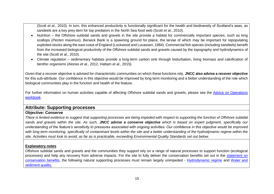(Scott *et al.,* 2010). In turn, this enhanced productivity is functionally significant for the health and biodiversity of Scotland's seas, as sandeels are a key prey item for top predators in the North Sea food web (Scott *et al*., 2010).

- Nutrition the Offshore subtidal sands and gravels in the site provide a habitat for commercially important species, such as king scallops (*Pecten maximus*). Berwick Bank is a spawning ground for [plaice,](http://www.marlin.ac.uk/speciesinformation.php?speciesID=4144) the larvae of which may be important for repopulating exploited stocks along the east coast of England (Lockwood and Lucassen, 1984). Commercial fish species (including sandeels) benefit from the increased biological productivity of the Offshore subtidal sands and gravels caused by the topography and hydrodynamics of the site (Scott *et al.,* 2010).
- Climate regulation sedimentary habitats provide a long-term carbon sink through bioturbation, living biomass and calcification of benthic organisms (Alonso *et al.,* 2012, Hattam *et al.,* 2015).

Given that a recover objective is advised for characteristic communities on which these functions rely, **JNCC also advise a recover objective**  for this sub-attribute. Our confidence in this objective would be improved by long term monitoring and a better understanding of the role which biological communities play in the function and health of the feature.

For further information on human activities capable of affecting Offshore subtidal sands and gravels, please see the [Advice on Operations](http://jncc.defra.gov.uk/pdf/FFBC_AdviceOnOperations_v1.0.xlsx)  [workbook.](http://jncc.defra.gov.uk/pdf/FFBC_AdviceOnOperations_v1.0.xlsx)

# **Attribute: Supporting processes**

#### **Objective: Conserve**

*There is limited evidence to suggest that supporting processes are being impeded with respect to supporting the function of Offshore subtidal sands and gravels within the site. As such, JNCC advise a conserve objective which is based on expert judgment, specifically our understanding of the feature's sensitivity to pressures associated with ongoing activities. Our confidence in this objective would be improved*  with long term monitoring, specifically of contaminant levels within the site and a better understanding of the hydrodynamic regime within the *site. Activities must look to avoid, as far as is practicable, exceeding Environmental Quality Standards set out below.*

#### **Explanatory notes**

<span id="page-14-0"></span>Offshore subtidal sands and gravels and the communities they support rely on a range of natural processes to support function (ecological processes) and help any recovery from adverse impacts. For the site to fully deliver the conservation benefits set out in the [statement on](http://jncc.defra.gov.uk/pdf/FFBC_ConservationStatements_v1.0.pdf)  [conservation benefits,](http://jncc.defra.gov.uk/pdf/FFBC_ConservationStatements_v1.0.pdf) the following natural supporting processes must remain largely unimpeded - [Hydrodynamic regime](#page-15-2) and [Water and](#page-16-2)  [sediment quality.](#page-16-2)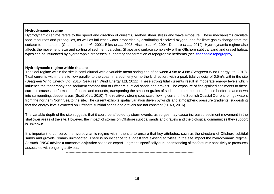#### <span id="page-15-2"></span>**Hydrodynamic regime**

Hydrodynamic regime refers to the speed and direction of currents, seabed shear stress and wave exposure. These mechanisms circulate food resources and propagules, as well as influence water properties by distributing dissolved oxygen, and facilitate gas exchange from the surface to the seabed (Chamberlain *et al.,* 2001; Biles *et al.,* 2003; Hiscock *et al.,* 2004; Dutertre *et al.,* 2012). Hydrodynamic regime also affects the movement, size and sorting of sediment particles. Shape and surface complexity within Offshore subtidal sand and gravel habitat types can be influenced by hydrographic processes, supporting the formation of topographic bedforms (see [finer scale topography\)](#page-8-3).

-----------------------------------------------------------------------------------------------------------

#### **Hydrodynamic regime within the site**

The tidal regime within the site is semi-diurnal with a variable mean spring tide of between 4.5m to 4.8m (Seagreen Wind Energy Ltd, 2010). Tidal currents within the site flow parallel to the coast in a southerly or northerly direction, with a peak tidal velocity of 0.5m/s within the site (Seagreen Wind Energy Ltd, 2010; Seagreen Wind Energy Ltd, 2011). These strong tidal currents result in moderate energy levels which influence the topography and sediment composition of Offshore subtidal sands and gravels. The exposure of fine-grained sediments to these currents causes the formation of banks and mounds, transporting the smallest grains of sediment from the tops of these bedforms and down into surrounding, deeper areas (Scott *et al.,* 2010). The relatively strong southward flowing current, the Scottish Coastal Current, brings waters from the northern North Sea to the site. The current exhibits spatial variation driven by winds and atmospheric pressure gradients, suggesting that the energy levels exacted on Offshore subtidal sands and gravels are not constant (SEA3, 2016).

<span id="page-15-0"></span>The variable depth of the site suggests that it could be affected by storm events, as surges may cause increased sediment movement in the shallower areas of the site. However, the impact of storms on Offshore subtidal sands and gravels and the biological communities they support is unknown.

It is important to conserve the hydrodynamic regime within the site to ensure that key attributes, such as the structure of Offshore subtidal sands and gravels, remain unimpacted. There is no evidence to suggest that existing activities in the site impact the hydrodynamic regime. As such, **JNCC advise a conserve objective** based on expert judgment, specifically our understanding of the feature's sensitivity to pressures associated with ongoing activities.

<span id="page-15-1"></span>-----------------------------------------------------------------------------------------------------------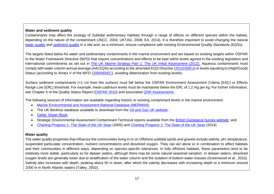#### <span id="page-16-2"></span>**Water and sediment quality**

Contaminants may affect the ecology of Subtidal sedimentary habitats through a range of effects on different species within the habitat, depending on the nature of the contaminant (JNCC, 2004; UKTAG, 2008; EA, 2014). It is therefore important to avoid changing the natural [water quality](#page-16-3) and [sediment quality](#page-18-2) in a site and, as a minimum, ensure compliance with existing Environmental Quality Standards (EQSs).

The targets listed below for water and sedimentary contaminants in the marine environment and are based on existing targets within OSPAR or the Water Framework Directive (WFD) that require concentrations and effects to be kept within levels agreed in the existing legislation and international commitments as set out in [The UK Marine Strategy Part 1: The UK Initial Assessment \(2012\).](https://www.gov.uk/government/uploads/system/uploads/attachment_data/file/69632/pb13860-marine-strategy-part1-20121220.pdf) Aqueous contaminants must comply with water column annual average (AA) EQSs according to the amended EQS Directive [\(2013/39/EU\)](http://eur-lex.europa.eu/LexUriServ/LexUriServ.do?uri=OJ:L:2013:226:0001:0017:EN:PDF) or levels equating to (High/Good) Status (according to Annex V of the WFD [\(2000/60/EC\)](http://eur-lex.europa.eu/legal-content/EN/TXT/?uri=CELEX:02000L0060-20141120), avoiding deterioration from existing levels).

Surface sediment contaminants (<1 cm from the surface) must fall below the OSPAR Environment Assessment Criteria (EAC) or Effects Range Low (ERL) threshold. For example, mean cadmium levels must be maintained below the ERL of 1.2 mg per kg. For further information, see Chapter 5 of the Quality Status Report [\(OSPAR 2010\)](http://qsr2010.ospar.org/en/index.html) and associated [QSR Assessments.](http://qsr2010.ospar.org/media/assessments/p00390_2009_CEMP_assessment_report.pdf)

The following sources of information are available regarding historic or existing contaminant levels in the marine environment:

- [Marine Environmental and Assessment National Database \(MERMAN\)](http://www.bodc.ac.uk/projects/uk/merman/project_overview/)
- <span id="page-16-0"></span>• The UK Benthos database available to download from the [Oil and Gas UK website;](http://oilandgasuk.co.uk/environment-resources.cfm)
- [Cefas' Green Book;](https://www.cefas.co.uk/cefas-data-hub/publication-abstract/?id=7864)
- Strategic Environmental Assessment Contaminant Technical reports available from the [British Geological Survey website;](http://www.bgs.ac.uk/data/sea/) and
- [Charting Progress 1: The State of the UK Seas](http://webarchive.nationalarchives.gov.uk/20141203174606/http:/chartingprogress.defra.gov.uk/charting-progress2005) (2005) and [Charting Progress 2: The State of the UK Seas](http://webarchive.nationalarchives.gov.uk/20141203170558/http:/chartingprogress.defra.gov.uk/) (2014).

#### <span id="page-16-3"></span>**Water quality**

<span id="page-16-1"></span>The water quality properties that influence the communities living in or on Offshore subtidal sands and gravels include salinity, pH, temperature, suspended particulate concentration, nutrient concentrations and dissolved oxygen. They can act alone or in combination to affect habitats and their communities in different ways, depending on species-specific tolerances. In fully offshore habitats, these parameters tend to be relatively more stable, particularly so for deeper waters, although there may be some natural seasonal variation. In deeper waters, dissolved oxygen levels are generally lower due to stratification of the water column and the isolation of bottom water masses (Greenwood *et al.,* 2010). Salinity also increases with depth, peaking about 50 m down, after which the salinity decreases with increasing depth to a minimum around 1000 m in North Atlantic waters (Talley, 2002).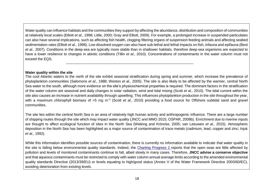Water quality can influence habitats and the communities they support by affecting the abundance, distribution and composition of communities at relatively local scales (Elliott *et al.,* 1998; Little, 2000; Gray and Elliott, 2009). For example, a prolonged increase in suspended particulates can also have several implications, such as affecting fish health, clogging filtering organs of suspension feeding animals and affecting seabed sedimentation rates (Elliott *et al.,* 1998). Low dissolved oxygen can also have sub-lethal and lethal impacts on fish, infauna and epifauna (Best *et al.,* 2007). Conditions in the deep-sea are typically more stable than in shallower habitats, therefore deep-sea organisms are expected to have a lower resilience to changes in abiotic conditions (Tillin *et al.,* 2010). Concentrations of contaminants in the water column must not exceed the EQS.

-----------------------------------------------------------------------------------------------------------

#### **Water quality within the site**

The cool Atlantic waters to the north of the site exhibit seasonal stratification during spring and summer, which increase the prevalence of phytoplankton communities (Salomons *et al.,* 1988; Weston *et al.,* 2005). The site is also likely to be affected by the warmer, central North Sea water to the south, although more evidence on the site's physicochemical properties is required. The dominant factors in the stratification of the water column are seasonal and daily changes in solar radiation, wind and tidal mixing (Scott *et al.,* 2010). The tidal current within the site also causes an increase in nutrient availability through upwelling. This influences phytoplankton production in the site throughout the year, with a maximum chlorophyll biomass of >5 mg m<sup>-3</sup> (Scott *et al.,* 2010) providing a food source for Offshore subtidal sand and gravel communities.

The site lies within the central North Sea in an area of relatively high human activity and anthropogenic influence. There are a large number of shipping routes through the site which may impact water quality (JNCC and MMO 2015; OSPAR, 2009b). Enrichment due to riverine inputs are thought to affect ecological function of sites in the North Sea (Wieking and Kröncke, 2005; van Leeuwen *et al.,* 2015). Atmospheric deposition in the North Sea has been highlighted as a major source of contamination of trace metals (cadmium, lead, copper and zinc; Injuk *et al.,* 1992).

<span id="page-17-0"></span>While this information identifies possible sources of contamination, there is currently no information available to indicate that water quality in the site is falling below environmental quality standards. Indeed, the [Charting Progress 2](http://webarchive.nationalarchives.gov.uk/20141203171015/http:/chartingprogress.defra.gov.uk/ministerial-foreword) reports that the open seas are little affected by pollution and levels of monitored contaminants continue to fall, albeit slowly in many cases. Therefore, **JNCC advise a conserve objective** and that aqueous contaminants must be restricted to comply with water column annual average limits according to the amended environmental quality standards Directive (2013/39/EU) or levels equating to high/good status (Annex V of the Water Framework Directive 2000/60/EC), avoiding deterioration from existing levels.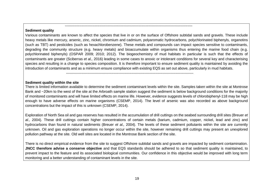#### <span id="page-18-2"></span>**Sediment quality**

Various contaminants are known to affect the species that live in or on the surface of Offshore subtidal sands and gravels. These include heavy metals like mercury, arsenic, zinc, nickel, chromium and cadmium, polyaromatic hydrocarbons, polychlorinated biphenyls, organotins (such as TBT) and pesticides (such as hexachlorobenzene). These metals and compounds can impact species sensitive to contaminants, degrading the community structure (e.g. heavy metals) and bioaccumulate within organisms thus entering the marine food chain (e.g. polychlorinated biphenyls) (OSPAR 2009; 2010; 2012). The biogeochemistry of mud habitats in particular is such that the effects of contaminants are greater (Sciberras *et al.,* 2016) leading in some cases to anoxic or intolerant conditions for several key and characterising species and resulting in a change to species composition. It is therefore important to ensure sediment quality is maintained by avoiding the introduction of contaminants and as a minimum ensure compliance with existing EQS as set out above, particularly in mud habitats.

-----------------------------------------------------------------------------------------------------------

-----------------------------------------------------------------------------------------------------------

#### **Sediment quality within the site**

There is limited information available to determine the sediment contaminant levels within the site. Samples taken within the site at Montrose Bank and ~20km to the west of the site at the Arbroath sample station suggest the sediment is below background conditions for the majority of monitored contaminants and will have limited effects on marine life. However, evidence suggests levels of chlorobiphenyl-118 may be high enough to have adverse effects on marine organisms (CSEMP, 2014). The level of arsenic was also recorded as above background concentrations but the impact of this is unknown (CSEMP, 2014).

<span id="page-18-0"></span>Exploration of North Sea oil and gas reserves has resulted in the accumulation of drill cuttings on the seabed surrounding drill sites (Breuer *et al.,* 2004). These drill cuttings contain higher concentrations of certain metals (barium, cadmium, copper, nickel, lead and zinc) and hydrocarbons than found in natural sediments (Breuer *et al.,* 2004). The levels of these sediment pollutants within the site are currently unknown. Oil and gas exploration operations no longer occur within the site, however remaining drill cuttings may present an unexplored pollution pathway at the site. Old well sites are located in the Montrose Bank section of the site.

<span id="page-18-1"></span>There is no direct empirical evidence from the site to suggest Offshore subtidal sands and gravels are impacted by sediment contamination. **JNCC therefore advise a conserve objective** and that EQS standards should be adhered to so that sediment quality is maintained, to prevent impact to the feature and its associated biological communities. Our confidence in this objective would be improved with long term monitoring and a better understanding of contaminant levels in the site.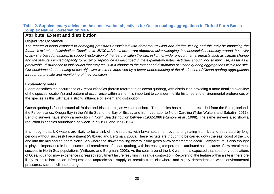<span id="page-19-2"></span>**Table 2. Supplementary advice on the conservation objectives for Ocean quahog aggregations in Firth of Forth Banks Complex Nature Conservation MPA**.

# **Attribute: Extent and distribution**

#### **Objective: Conserve**

*The feature is being exposed to damaging pressures associated with demersal trawling and dredge fishing and this may be impacting the feature's extent and distribution. Despite this, JNCC advise a conserve objective acknowledging the substantial uncertainty around the ability of any site-based measures to support restoration of the feature within the site, in light of wider environmental impacts such as climate change and the feature's limited capacity to recruit or reproduce as described in the explanatory notes. Activities should look to minimise, as far as is practicable, disturbance to individuals that may result in a change to the extent and distribution of Ocean quahog aggregations within the site. Our confidence in the setting of this objective would be improved by a better understanding of the distribution of Ocean quahog aggregations throughout the site and monitoring of their condition.* 

#### **Explanatory notes**

Extent describes the occurrence of *Arctica islandica* (herein referred to as ocean quahog), with distribution providing a more detailed overview of the species location(s) and pattern of occurrence within a site. It is important to consider the life histories and environmental preferences of the species as this will have a strong influence on extent and distribution.

<span id="page-19-1"></span><span id="page-19-0"></span>Ocean quahog is found around all British and Irish coasts, as well as offshore. The species has also been recorded from the Baltic, Iceland, the Faroe Islands, Onega Bay in the White Sea to the Bay of Biscay and from Labrador to North Carolina (Tyler-Walters and Sabatini, 2017). Benthic surveys have shown a reduction in North Sea distribution between 1902-1986 (Rumohr *et al.,* 1998). The same surveys also show a reduction in species abundance between 1972-1980 and 1990-1994.

It is thought that UK waters are likely to be a sink of new recruits, with larval settlement events originating from Iceland separated by long periods without successful recruitment (Witbaard and Bergman, 2003). These recruits are thought to be carried down the east coast of the UK and into the mid and southern North Sea where the slower moving waters inside gyres allow settlement to occur. Temperature is also thought to play an important role in the successful recruitment of ocean quahog, with increasing temperatures attributed as the cause of low recruitment success in North Sea populations (Witbaard and Bergman, 2003). As the seas around the UK warm, it is expected that southerly populations of Ocean quahog may experience increased recruitment failure resulting in a range contraction. Recovery of the feature within a site is therefore likely to be reliant on an infrequent and unpredictable supply of recruits from elsewhere and highly dependent on wider environmental pressures, such as climate change.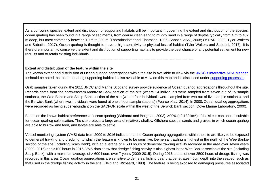As a burrowing species, extent and distribution of supporting habitats will be important in governing the extent and distribution of the species. ocean quahog has been found in a range of sediments, from coarse clean sand to muddy sand in a range of depths typically from 4 m to 482 m deep, but most commonly between 10 m to 280 m (Thorarinsdóttir and Einarsson, 1996; Sabatini *et al.,* 2008; OSPAR, 2009; Tyler-Walters and Sabatini, 2017). Ocean quahog is thought to have a high sensitivity to physical loss of habitat (Tyler-Walters and Sabatini, 2017). It is therefore important to conserve the extent and distribution of supporting habitats to provide the best chance of any potential settlement for new recruits and to retain existing individuals.

**Extent and distribution of the feature within the site**

The known extent and distribution of Ocean quahog aggregations within the site is available to view via the [JNCC's Interactive MPA Mapper.](http://jncc.defra.gov.uk/default.aspx?page=5201&LAYERS=TwelveTS%2CUKCS%2CNCMPA_LSF%2CQOS_P_Poly%2CSandgrav_ncmpas%2CMolluscs_ncmpas%2CncMPA&zoom=8&Y=56.43221&X=-1.65938) It should be noted that ocean quahog supporting habitat is also available to view on this map and is discussed under [supporting processes.](#page-24-2)

-----------------------------------------------------------------------------------------------------------

Grab samples taken during the 2011 JNCC and Marine Scotland survey provide evidence of Ocean quahog aggregations throughout the site. Records came from the north-eastern Montrose Bank section of the site (where 14 individuals were sampled from seven out of 15 sample stations), the Wee Bankie and Scalp Bank section of the site (where four individuals were sampled from two out of five sample stations), and the Berwick Bank (where two individuals were found at one of four sample stations) (Pearce *et al.*, 2014). In 2000, Ocean quahog aggregations were recorded as being super-abundant on the SACFOR scale within the west of the Berwick Bank section (Dove Marine Laboratory, 2000).

Based on the known habitat preferences of ocean quahog (Witbaard and Bergman, 2003), >99% (~2,130 km<sup>2</sup>) of the site is considered suitable for ocean quahog colonisation. The site protects a large area of relatively shallow Offshore subtidal sands and gravels in which ocean quahog are able to burrow and feed, and larvae are able to settle.

<span id="page-20-0"></span>Vessel monitoring system (VMS) data from 2009 to 2016 indicate that the Ocean quahog aggregations within the site are likely to be exposed to demersal trawling and dredging, to which the feature is known to be sensitive. Demersal trawling is highest in the north of the Wee Bankie section of the site (including Scalp Bank), with an average of > 500 hours of demersal trawling activity recorded in the area over seven years (2009 -2015) and >100 hours in 2016. VMS data show that dredge fishing activity is also highest in the Wee Bankie section of the site (including Scalp Bank), with a maximum average of > 600 hours over 7 years (2009-2015). During 2016 a total of over 2500 hours of dredge fishing was recorded in this area. Ocean quahog aggregations are sensitive to demersal fishing gear that penetrates >5cm depth into the seabed, such as that used in the dredge fishing activity in the site (Klein and Witbaard, 1993). The feature is being exposed to damaging pressures associated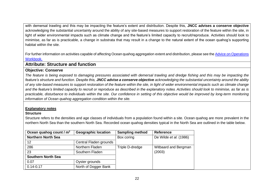with demersal trawling and this may be impacting the feature's extent and distribution. Despite this, **JNCC advises a conserve objective** acknowledging the substantial uncertainty around the ability of any site-based measures to support restoration of the feature within the site, in light of wider environmental impacts such as climate change and the feature's limited capacity to recruit/reproduce. Activities should look to minimise, as far as is practicable, a change in substrata that may result in a change to the natural extent of the ocean quahog's supporting habitat within the site.

For further information on activities capable of affecting Ocean quahog aggregation extent and distribution, please see the Advice on Operations [Workbook.](http://jncc.defra.gov.uk/pdf/FFBC_AdviceOnOperations_v1.0.xlsx)

# **Attribute: Structure and function**

#### **Objective: Conserve**

*The feature is being exposed to damaging pressures associated with demersal trawling and dredge fishing and this may be impacting the feature's structure and function. Despite this, JNCC advise a conserve objective acknowledging the substantial uncertainty around the ability of any site-based measures to support restoration of the feature within the site, in light of wider environmental impacts such as climate change and the feature's limited capacity to recruit or reproduce as described in the explanatory notes. Activities should look to minimise, as far as is practicable, disturbance to individuals within the site. Our confidence in setting of this objective would be improved by long-term monitoring information of Ocean quahog aggregation condition within the site.*

#### **Explanatory notes**

#### **Structure**

Structure refers to the densities and age classes of individuals from a population found within a site. Ocean quahog are more prevalent in the northern North Sea than the southern North Sea. Recorded ocean quahog densities typical in the North Sea are outlined in the table below.

<span id="page-21-1"></span><span id="page-21-0"></span>

| Ocean quahog count / m <sup>2</sup> | <b>Geographic location</b> | <b>Sampling method</b> | <b>Reference</b>       |
|-------------------------------------|----------------------------|------------------------|------------------------|
| <b>Northern North Sea</b>           |                            | Box coring             | De Wilde et al. (1986) |
| 12                                  | Central Fladen grounds     |                        |                        |
| 286                                 | Northern Fladen            | Triple D-dredge        | Witbaard and Bergman   |
| 23                                  | Southern Fladen            |                        | (2003)                 |
| <b>Southern North Sea</b>           |                            |                        |                        |
| 0.07                                | Oyster grounds             |                        |                        |
| $0.14 - 0.17$                       | North of Dogger Bank       |                        |                        |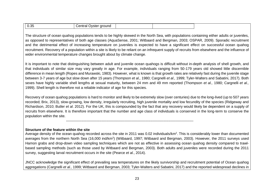| $\sim$ $\sim$ $\sim$<br>----<br>Dyster ground<br>.ent<br>U.35<br>u di |
|-----------------------------------------------------------------------|
|-----------------------------------------------------------------------|

-----------------------------------------------------------------------------------------------------------

The structure of ocean quahog populations tends to be highly skewed in the North Sea, with populations containing either adults or juveniles, as opposed to representatives of both age classes (AquaSense, 2001; Witbaard and Bergman, 2003; OSPAR, 2009). Sporadic recruitment and the detrimental effect of increasing temperature on juveniles is expected to have a significant effect on successful ocean quahog recruitment. Recovery of a population within a site is likely to be reliant on an infrequent supply of recruits from elsewhere and the influence of wider environmental temperature changes brought about by climate change.

It is important to note that distinguishing between adult and juvenile ocean quahogs is difficult without in-depth analysis of shell growth, and that individuals of similar size may vary greatly in age. For example, individuals ranging from 50-179 years old showed little discernible difference in mean length (Ropes and Murawski, 1983). However, what is known is that growth rates are relatively fast during the juvenile stage between 3-7 years of age but slow down after 15 years (Thompson *et al.,* 1980; Cargnelli *et al.,* 1999; Tyler-Walters and Sabatini, 2017). Both sexes have highly variable shell lengths at sexual maturity, between 24 mm and 49 mm reported (Thompson *et al.,* 1980; Cargnelli *et al.,* 1999). Shell length is therefore not a reliable indicator of age for this species.

Recovery of ocean quahog populations is hard to monitor and likely to be extremely slow (over centuries) due to the long-lived (up to 507 years recorded; Brix, 2013), slow-growing, low density, irregularly recruiting, high juvenile mortality and low fecundity of the species (Ridgeway and Richardson, 2010; Butler *et al*. 2012). For the UK, this is compounded by the fact that any recovery would likely be dependent on a supply of recruits from elsewhere. It is therefore important that the number and age class of individuals is conserved in the long-term to conserve the population within the site.

#### **Structure of the feature within the site**

Average density of the ocean quahog recorded across the site in 2011 was 0.02 individuals/km<sup>2</sup>. This is considerably lower than documented averages from the northern North Sea (16,000 ind/km<sup>2</sup>) (Witbaard, 1997; Witbaard and Bergman, 2003). However, the 2011 surveys used Hamon grabs and drop-down video sampling techniques which are not as effective in assessing ocean quahog density compared to trawlbased sampling methods (such as those used by Witbaard and Bergman, 2003). Both adults and juveniles were recorded during the 2011 survey, suggesting larval recruitment occurs in the site (Pearce *et al.*, 2014).

<span id="page-22-0"></span>JNCC acknowledge the significant effect of prevailing sea temperatures on the likely survivorship and recruitment potential of Ocean quahog aggregations (Cargnelli *et al.,* 1999; Witbaard and Bergman, 2003; Tyler-Walters and Sabatini, 2017) and the reported widespread declines in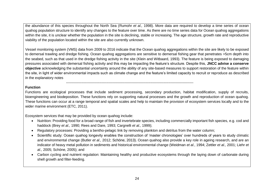the abundance of this species throughout the North Sea (Rumohr *et al.,* 1998). More data are required to develop a time series of ocean quahog population structure to identify any changes to the feature over time. As there are no time series data for Ocean quahog aggregations within the site, it is unclear whether the population in the site is declining, stable or increasing. The age structure, growth rate and reproductive viability of the population located within the site are also currently unknown.

Vessel monitoring system (VMS) data from 2009 to 2016 indicate that the Ocean quahog aggregations within the site are likely to be exposed to demersal trawling and dredge fishing. Ocean quahog aggregations are sensitive to demersal fishing gear that penetrates >5cm depth into the seabed, such as that used in the dredge fishing activity in the site (Klein and Witbaard, 1993). The feature is being exposed to damaging pressures associated with demersal fishing activity and this may be impacting the feature's structure. Despite this, **JNCC advise a conserve objective** acknowledging the substantial uncertainty around the ability of any site-based measures to support restoration of the feature within the site, in light of wider environmental impacts such as climate change and the feature's limited capacity to recruit or reproduce as described in the explanatory notes

#### **Function**

Functions are ecological processes that include sediment processing, secondary production, habitat modification, supply of recruits, bioengineering and biodeposition. These functions rely on supporting natural processes and the growth and reproduction of ocean quahog. These functions can occur at a range temporal and spatial scales and help to maintain the provision of ecosystem services locally and to the wider marine environment (ETC, 2011).

Ecosystem services that may be provided by ocean quahog include:

- Nutrition: Providing food for a broad range of fish and invertebrate species, including commercially important fish species, e.g. cod and haddock (Brey *et al.,* 1990; Rees and Dare, 1993; Cargnelli *et al.,* 1999);
- Regulatory processes: Providing a bentho-pelagic link by removing plankton and detritus from the water column;

-----------------------------------------------------------------------------------------------------------

- Scientific study: Ocean quahog longevity enables the construction of 'master chronologies' over hundreds of years to study climatic and environmental change (Butler *et al.,* 2012; Schöne, 2013). Ocean quahog also provide a key role in ageing research, and are an indicator of heavy metal pollution in sediments and historical environmental change (Weidman *et al.*, 1994; Zettler *et al.,* 2001; Liehr *et al.,* 2005; Schöne, 2005); and
- <span id="page-23-0"></span>• Carbon cycling and nutrient regulation: Maintaining healthy and productive ecosystems through the laying down of carbonate during shell growth and filter-feeding.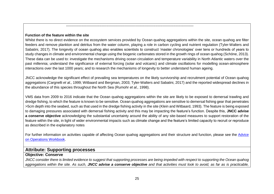#### **Function of the feature within the site**

Whilst there is no direct evidence on the ecosystem services provided by Ocean quahog aggregations within the site, ocean quahog are filter feeders and remove plankton and detritus from the water column, playing a role in carbon cycling and nutrient regulation (Tyler-Walters and Sabatini, 2017). The longevity of ocean quahog also enables scientists to construct 'master chronologies' over tens or hundreds of years to study changes in climate and environmental change using the biogenic carbonates stored in the growth rings of ocean quahog (Schöne, 2013). These data can be used to: investigate the mechanisms driving ocean circulation and temperature variability in North Atlantic waters over the past millennia; understand the significance of external forcing (solar and volcanic) and climate oscillations for modelling ocean-atmosphere interactions over the last 1000 years; and to research the mechanisms of longevity to better understand human ageing.

<span id="page-24-3"></span>-----------------------------------------------------------------------------------------------------------

JNCC acknowledge the significant effect of prevailing sea temperatures on the likely survivorship and recruitment potential of Ocean quahog aggregations (Cargnelli *et al.,* 1999; Witbaard and Bergman, 2003; Tyler-Walters and Sabatini, 2017) and the reported widespread declines in the abundance of this species throughout the North Sea (Rumohr *et al.,* 1998).

<span id="page-24-0"></span>VMS data from 2009 to 2016 indicate that the Ocean quahog aggregations within the site are likely to be exposed to demersal trawling and dredge fishing, to which the feature is known to be sensitive. Ocean quahog aggregations are sensitive to demersal fishing gear that penetrates >5cm depth into the seabed, such as that used in the dredge fishing activity in the site (Klein and Witbaard, 1993). The feature is being exposed to damaging pressures associated with demersal fishing activity and this may be impacting the feature's function. Despite this, **JNCC advise a conserve objective** acknowledging the substantial uncertainty around the ability of any site-based measures to support restoration of the feature within the site, in light of wider environmental impacts such as climate change and the feature's limited capacity to recruit or reproduce as described in the explanatory notes

For further information on activities capable of affecting Ocean quahog aggregations and their structure and function, please see the Advice [on Operations Workbook.](http://jncc.defra.gov.uk/pdf/FFBC_AdviceOnOperations_v1.0.xlsx)

# <span id="page-24-2"></span>**Attribute: Supporting processes**

#### **Objective: Conserve**

<span id="page-24-1"></span>*JNCC consider there is limited evidence to suggest that supporting processes are being impeded with respect to supporting the Ocean quahog aggregations within the site. As such, JNCC advise a conserve objective and that activities must look to avoid, as far as is practicable,*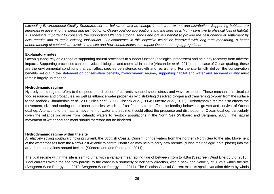**exceeding Environmental Quality Standards set out below, as well as change in substrate extent and distribution. Supporting habitats are** important in governing the extent and distribution of Ocean quahog aggregations and the species is highly sensitive to physical loss of habitat. *It is therefore important to conserve the supporting Offshore subtidal sands and gravels habitat to provide the best chance of settlement by new recruits and to retain existing individuals. Our confidence in this objective would be improved with long-term monitoring, a better understanding of contaminant levels in the site and how contaminants can impact Ocean quahog aggregations.*

#### **Explanatory notes**

Ocean quahog rely on a range of supporting natural processes to support function (ecological processes) and help any recovery from adverse impacts. Supporting processes can be physical, biological and chemical in nature (Alexander *et al.,* 2014). In the case of Ocean quahog, these are the environmental conditions that can affect species persistence, growth and recruitment. For the site to fully deliver the conservation benefits set out in the [statement on conservation benefits,](http://jncc.defra.gov.uk/pdf/FFBC_ConservationStatements_v1.0.pdf) [hydrodynamic regime,](#page-25-2) [supporting habitat](#page-26-2) and [water and sediment quality](#page-27-1) must remain largely unimpeded.

#### <span id="page-25-2"></span>**Hydrodynamic regime**

Hydrodynamic regime refers to the speed and direction of currents, seabed shear stress and wave exposure. These mechanisms circulate food resources and propagules, as well as influence water properties by distributing dissolved oxygen and transferring oxygen from the surface to the seabed (Chamberlain *et al.,* 2001; Biles *et al.,* 2003; Hiscock *et al.,* 2004; Dutertre *et al.,* 2012). Hydrodynamic regime also effects the movement, size and sorting of sediment particles, which as filter-feeders could affect the feeding behaviour, growth and survival of Ocean quahog. Alterations to the natural movement of water and sediment could affect the presence and distribution of Ocean quahog, particularly given the reliance on larvae from Icelandic waters to re-stock populations in the North Sea (Witbaard and Bergman, 2003). The natural movement of water and sediment should therefore not be hindered.

#### **Hydrodynamic regime within the site**

A relatively strong southward flowing current, the Scottish Coastal Current, brings waters from the northern North Sea to the site. Movement of the water masses from the North-East Atlantic to central North Sea may help to carry new recruits (during their pelagic larval phase) into the area from populations around Iceland (Sündermann and Pohlmann, 2011).

-----------------------------------------------------------------------------------------------------------

<span id="page-25-1"></span><span id="page-25-0"></span>The tidal regime within the site is semi-diurnal with a variable mean spring tide of between 4.5m to 4.8m (Seagreen Wind Energy Ltd, 2010). Tidal currents within the site flow parallel to the coast in a southerly or northerly direction, with a peak tidal velocity of 0.5m/s within the site (Seagreen Wind Energy Ltd, 2010; Seagreen Wind Energy Ltd, 2011). The Scottish Coastal Current exhibits spatial variation driven by winds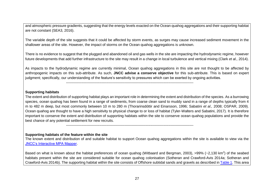and atmospheric pressure gradients, suggesting that the energy levels exacted on the Ocean guahog aggregations and their supporting habitat are not constant (SEA3, 2016).

The variable depth of the site suggests that it could be affected by storm events, as surges may cause increased sediment movement in the shallower areas of the site. However, the impact of storms on the Ocean quahog aggregations is unknown.

There is no evidence to suggest that the plugged and abandoned oil and gas wells in the site are impacting the hydrodynamic regime, however future developments that add further infrastructure to the site may result in a change in local turbulence and vertical mixing (Clark *et al.,* 2014).

As impacts to the hydrodynamic regime are currently minimal, Ocean quahog aggregations in this site are not thought to be affected by anthropogenic impacts on this sub-attribute. As such, **JNCC advise a conserve objective** for this sub-attribute. This is based on expert judgment; specifically, our understanding of the feature's sensitivity to pressures which can be exerted by ongoing activities.

-----------------------------------------------------------------------------------------------------------

-----------------------------------------------------------------------------------------------------------

#### <span id="page-26-2"></span>**Supporting habitats**

The extent and distribution of supporting habitat plays an important role in determining the extent and distribution of the species. As a burrowing species, ocean quahog has been found in a range of sediments, from coarse clean sand to muddy sand in a range of depths typically from 4 m to 482 m deep, but most commonly between 10 m to 280 m (Thorarinsdóttir and Einarsson, 1996; Sabatini *et al.,* 2008; OSPAR, 2009). Ocean quahog are thought to have a high sensitivity to physical change to or loss of habitat (Tyler-Walters and Sabatini, 2017). It is therefore important to conserve the extent and distribution of supporting habitats within the site to conserve ocean quahog populations and provide the best chance of any potential settlement for new recruits.

**Supporting habitats of the feature within the site**

The known extent and distribution of and suitable habitat to support Ocean quahog aggregations within the site is available to view via the [JNCC's Interactive MPA Mapper.](http://jncc.defra.gov.uk/default.aspx?page=5201&LAYERS=TwelveTS%2CUKCS%2CMolluscs_ncmpas%2CncMPA&zoom=8&Y=56.43221&X=-1.65938)

<span id="page-26-1"></span><span id="page-26-0"></span>Based on what is known about the habitat preferences of ocean quahog (Witbaard and Bergman, 2003), >99% (~2,130 km<sup>2</sup>) of the seabed habitats present within the site are considered suitable for ocean quahog colonisation (Sotheran and Crawford-Avis 2014a; Sotheran and Crawford-Avis 2014b). The supporting habitat within the site consists of Offshore subtidal sands and gravels as described i[n Table 1.](#page-6-2) This area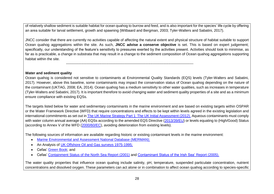of relatively shallow sediment is suitable habitat for ocean quahog to burrow and feed, and is also important for the species' life cycle by offering an area suitable for larval settlement, growth and spawning (Witbaard and Bergman, 2003; Tyler-Walters and Sabatini, 2017).

JNCC consider that there are currently no activities capable of affecting the natural extent and physical structure of habitat suitable to support Ocean quahog aggregations within the site. As such, **JNCC advise a conserve objective** is set. This is based on expert judgement; specifically, our understanding of the feature's sensitivity to pressures exerted by the activities present. Activities should look to minimise, as far as is practicable, a change in substrata that may result in a change to the sediment composition of Ocean quahog aggregations supporting habitat within the site.

-----------------------------------------------------------------------------------------------------------

#### <span id="page-27-1"></span>**Water and sediment quality**

Ocean quahog is considered not sensitive to contaminants at Environmental Quality Standards (EQS) levels (Tyler-Walters and Sabatini, 2017). However, above this baseline, some contaminants may impact the conservation status of Ocean quahog depending on the nature of the contaminant (UKTAG, 2008; EA, 2014). Ocean quahog has a medium sensitivity to other water qualities, such as increases in temperature (Tyler-Walters and Sabatini, 2017). It is important therefore to avoid changing water and sediment quality properties of a site and as a minimum ensure compliance with existing EQSs.

The targets listed below for water and sedimentary contaminants in the marine environment and are based on existing targets within OSPAR or the Water Framework Directive (WFD) that require concentrations and effects to be kept within levels agreed in the existing legislation and international commitments as set out in [The UK Marine Strategy Part 1: The UK Initial Assessment \(2012\).](https://www.gov.uk/government/uploads/system/uploads/attachment_data/file/69632/pb13860-marine-strategy-part1-20121220.pdf) Aqueous contaminants must comply with water column annual average (AA) EQSs according to the amended EQS Directive [\(2013/39/EU\)](http://eur-lex.europa.eu/LexUriServ/LexUriServ.do?uri=OJ:L:2013:226:0001:0017:EN:PDF) or levels equating to (High/Good) Status (according to Annex V of the WFD [\(2000/60/EC\)](http://eur-lex.europa.eu/legal-content/EN/TXT/?uri=CELEX:02000L0060-20141120), avoiding deterioration from existing levels).

The following sources of information are available regarding historic or existing contaminant levels in the marine environment:

- [Marine Environmental and Assessment National Database \(MERMAN\);](http://www.bodc.ac.uk/projects/uk/merman/project_overview/)
- An Analysis of [UK Offshore Oil and Gas surveys 1975-1995;](https://www.google.co.uk/url?sa=t&rct=j&q=&esrc=s&source=web&cd=2&cad=rja&uact=8&ved=0ahUKEwikmYWqtffUAhWDDcAKHZx8Cu8QFggqMAE&url=http%3A%2F%2Fs3.amazonaws.com%2Fzanran_storage%2Fwww.oilandgas.org.uk%2FContentPages%2F19205920.pdf&usg=AFQjCNE_leKRGUIuZpekjiI40mkB7u0dXA)
- Cefas' [Green Book;](https://www.cefas.co.uk/publications/greenbook/greenbookv15.pdf) and
- <span id="page-27-0"></span>• Cefas' [Containment Status of the North Sea](https://www.gov.uk/government/uploads/system/uploads/attachment_data/file/197352/TR_SEA2_Contamination.pdf) Report (2001) and [Contaminant Status of the Irish Sea'](https://www.gov.uk/government/uploads/system/uploads/attachment_data/file/197352/TR_SEA2_Contamination.pdf) Report (2005).

The water quality properties that influence ocean quahog include salinity, pH, temperature, suspended particulate concentration, nutrient concentrations and dissolved oxygen. These parameters can act alone or in combination to affect ocean quahog according to species-specific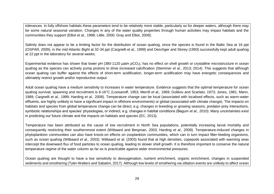tolerances. In fully offshore habitats these parameters tend to be relatively more stable, particularly so for deeper waters, although there may be some natural seasonal variation. Changes in any of the water quality properties through human activities may impact habitats and the communities they support (Elliot *et al.,* 1998; Little, 2000; Gray and Elliot, 2009).

Salinity does not appear to be a limiting factor for the distribution of ocean quahog, since the species is found in the Baltic Sea at 16 ppt (OSPAR, 2009), in the mid-Atlantic Bight at 32-34 ppt (Cargnelli *et al.,* 1999) and Oeschger and Storey (1993) successfully kept adult quahog at 22 ppt in the laboratory for several weeks.

Experimental evidence has shown that lower pH (380-1120 µatm *p*CO<sub>2</sub>), has no effect on shell growth or crystalline microstructure in ocean quahog as the species can actively pump protons to drive increased calcification (Stemmer *et al.,* 2013; 2014). This suggests that although ocean quahog can buffer against the effects of short-term acidification, longer-term acidification may have energetic consequences and ultimately restrict growth and/or reproductive output.

Adult ocean quahog have a medium sensitivity to increases in water temperature. Evidence suggests that the optimal temperature for ocean quahog survival, spawning and recruitment is 6-16°C (Loosanoff, 1953; Merrill *et al.,* 1969; Golikov and Scarlato, 1973; Jones, 1981; Mann, 1989; Cargnelli *et al.,* 1999; Harding *et al.,* 2008). Temperature change can be local (associated with localised effects, such as warm-water effluents, are highly unlikely to have a significant impact in offshore environments) or global (associated with climate change). The impacts on habitats and species from global temperature change can be direct, e.g. changes in breeding or growing seasons, predator-prey interactions, symbiotic relationships and species' physiologies, or indirect, e.g. changes in habitat conditions (Begum *et al.,* 2010). Many uncertainties exist in predicting our future climate and the impacts on habitats and species (EC, 2013).

Temperature has been attributed as the cause of low recruitment in North Sea populations, potentially increasing larval mortality and consequently restricting their southernmost extent (Witbaard and Bergman, 2003; Harding *et al.,* 2008). Temperature-induced changes in phytoplankton communities can also have knock-on effects on zooplankton communities, which can in turn impact filter-feeding organisms, such as ocean quahog (Witbaard *et al.,* 2003). Witbaard *et al.* (2003) found that at high densities, copepods associated with warming seas intercept the downward flux of food particles to ocean quahog, leading to slower shell growth. It is therefore important to conserve the natural temperature regime of the water column as far as is practicable against wider environmental pressures.

Ocean quahog are thought to have a low sensitivity to deoxygenation, nutrient enrichment, organic enrichment, changes in suspended sediments and smothering (Tyler-Walters and Sabatini, 2017). Although low levels of smothering via siltation events are unlikely to affect ocean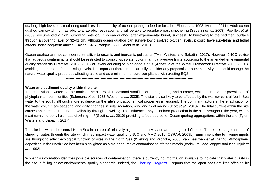quahog, high levels of smothering could restrict the ability of ocean quahog to feed or breathe (Elliot *et al.,* 1998; Morton, 2011). Adult ocean quahog can switch from aerobic to anaerobic respiration and will be able to resurface post-smothering (Sabatini *et al.,* 2008). Powilleit *et al.* (2009) documented a high burrowing potential in ocean quahog after experimental burial, successfully burrowing to the sediment surface through a covering layer of 32-41 cm. Although ocean quahog can survive low dissolved oxygen levels, it could have sub-lethal and lethal affects under long-term anoxia (Taylor, 1976; Weigelt, 1991; Strahl *et al.,* 2011).

Ocean quahog are not considered sensitive to organic and inorganic pollutants (Tyler-Walters and Sabatini, 2017). However, JNCC advise that aqueous contaminants should be restricted to comply with water column annual average limits according to the amended environmental quality standards Directive (2013/39/EU) or levels equating to high/good status (Annex V of the Water Framework Directive 2000/60/EC), avoiding deterioration from existing levels. It is important therefore to carefully consider any proposals or human activity that could change the natural water quality properties affecting a site and as a minimum ensure compliance with existing EQS.

-----------------------------------------------------------------------------------------------------------

#### **Water and sediment quality within the site**

The cool Atlantic waters to the north of the site exhibit seasonal stratification during spring and summer, which increase the prevalence of phytoplankton communities (Salomons *et al.,* 1988; Weston *et al.,* 2005). The site is also likely to be affected by the warmer central North Sea water to the south, although more evidence on the site's physicochemical properties is required. The dominant factors in the stratification of the water column are seasonal and daily changes in solar radiation, wind and tidal mixing (Scott *et al.,* 2010). The tidal current within the site causes an increase in nutrient availability through upwelling. This influences phytoplankton production in the site throughout the year, with a maximum chlorophyll biomass of >5 mg m<sup>-3</sup> (Scott *et al.,* 2010) providing a food source for Ocean quahog aggregations within the site (Tyler-Walters and Sabatini, 2017).

The site lies within the central North Sea in an area of relatively high human activity and anthropogenic influence. There are a large number of shipping routes through the site which may impact water quality (JNCC and MMO 2015; OSPAR, 2009b). Enrichment due to riverine inputs are thought to affect ecological function of sites in the North Sea (Wieking and Kröncke, 2005; van Leeuwen *et al.,* 2015). Atmospheric deposition in the North Sea has been highlighted as a major source of contamination of trace metals (cadmium, lead, copper and zinc; Injuk *et al.,* 1992).

<span id="page-29-0"></span>While this information identifies possible sources of contamination, there is currently no information available to indicate that water quality in the site is falling below environmental quality standards. Indeed, the [Charting Progress 2](http://webarchive.nationalarchives.gov.uk/20141203171015/http:/chartingprogress.defra.gov.uk/ministerial-foreword) reports that the open seas are little affected by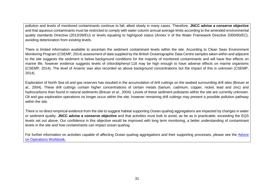pollution and levels of monitored contaminants continue to fall, albeit slowly in many cases. Therefore, **JNCC advise a conserve objective** and that aqueous contaminants must be restricted to comply with water column annual average limits according to the amended environmental quality standards Directive (2013/39/EU) or levels equating to high/good status (Annex V of the Water Framework Directive 2000/60/EC), avoiding deterioration from existing levels.

There is limited information available to ascertain the sediment contaminant levels within the site. According to Clean Seas Environment Monitoring Program (CSEMP, 2014) assessment of data supplied by the British Oceanographic Data Centre samples taken within and adjacent to the site suggests the sediment is below background conditions for the majority of monitored contaminants and will have few effects on marine life, however evidence suggests levels of chlorobiphenyl-118 may be high enough to have adverse effects on marine organisms (CSEMP, 2014). The level of Arsenic was also recorded as above background concentrations but the impact of this is unknown (CSEMP, 2014).

Exploration of North Sea oil and gas reserves has resulted in the accumulation of drill cuttings on the seabed surrounding drill sites (Breuer *et al.,* 2004). These drill cuttings contain higher concentrations of certain metals (barium, cadmium, copper, nickel, lead and zinc) and hydrocarbons than found in natural sediments (Breuer *et al.,* 2004). Levels of these sediment pollutants within the site are currently unknown. Oil and gas exploration operations no longer occur within the site, however remaining drill cuttings may present a possible pollution pathway within the site.

There is no direct empirical evidence from the site to suggest habitat supporting Ocean quahog aggregations are impacted by changes in water or sediment quality. **JNCC advise a conserve objective** and that activities must look to avoid, as far as is practicable, exceeding the EQS levels set out above. Our confidence in this objective would be improved with long term monitoring, a better understanding of contaminant levels in the site and how contaminants can impact ocean quahog.

<span id="page-30-0"></span>For further information on activities capable of affecting Ocean quahog aggregations and their supporting processes, please see the Advice [on Operations Workbook.](http://jncc.defra.gov.uk/pdf/FFBC_AdviceOnOperations_v1.0.xlsx)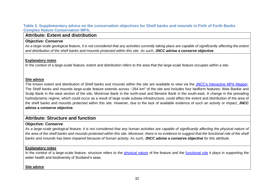#### **Table 3. Supplementary advice on the conservation objectives for Shelf banks and mounds in Firth of Forth Banks Complex Nature Conservation MPA.**

# **Attribute: Extent and distribution**

#### **Objective: Conserve**

*As a large-scale geological feature, it is not considered that any activities currently taking place are capable of significantly affecting the extent and distribution of the shelf banks and mounds protected within this site. As such, JNCC advise a conserve objective.*

#### **Explanatory notes**

In the context of a large-scale feature, extent and distribution refers to the area that the large-scale feature occupies within a site.

#### **Site advice**

The known extent and distribution of Shelf banks and mounds within the site are available to view via the [JNCC's Interactive MPA Mapper.](http://jncc.defra.gov.uk/default.aspx?page=5201&LAYERS=TwelveTS%2CUKCS%2CMolluscs_ncmpas%2CncMPA&zoom=8&Y=56.43221&X=-1.65938) The Shelf banks and mounds large-scale feature extends across ~264 km<sup>2</sup> of the site and includes four bedform features: Wee Bankie and Scalp Bank in the west section of the site, Montrose Bank in the north-east and Berwick Bank in the south-east. A change in the prevailing hydrodynamic regime, which could occur as a result of large scale subsea infrastructure, could affect the extent and distribution of the area of the shelf banks and mounds protected within this site. However, due to the lack of available evidence of such an activity or impact, **JNCC advise a conserve objective**.

# <span id="page-31-0"></span>**Attribute: Structure and function**

# **Objective: Conserve**

As a large-scale geological feature, it is not considered that any human activities are capable of significantly affecting the physical nature of the area of the shelf banks and mounds protected within this site. Moreover, there is no evidence to suggest that the functional role of the shelf *banks and mounds has been impaired because of human activity. As such, JNCC advise a conserve objective for this attribute.*

#### **Explanatory notes**

In the context of a large-scale feature, structure refers to the [physical nature](#page-32-2) of the feature and the [functional role](#page-32-3) it plays in supporting the wider health and biodiversity of Scotland's seas.

#### <span id="page-31-1"></span>**Site advice**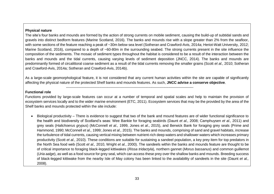#### <span id="page-32-2"></span>**Physical nature**

The site's four banks and mounds are formed by the action of strong currents on mobile sediment, causing the build-up of subtidal sands and gravels into distinct bedform features (Marine Scotland, 2016). The banks and mounds rise with a slope greater than 2% from the seafloor, with some sections of the feature reaching a peak of ~30m below sea level (Sotheran and Crawford-Avis, 2014a; Heriot-Watt University, 2012; Marine Scotland, 2016), compared to a depth of ~60-80m in the surrounding seabed. The strong currents present in the site influence the composition of the sediments. The mosaic of sediment types throughout the habitat is considered to be a result of the interaction between the banks and mounds and the tidal currents, causing varying levels of sediment deposition (JNCC, 2014). The banks and mounds are predominantly formed of circalittoral coarse sediment as a result of the tidal currents removing the smaller grains (Scott *et al.,* 2010; Sotheran and Crawford-Avis, 2014a; Sotheran and Crawford-Avis, 2014b).

As a large-scale geomorphological feature, it is not considered that any current human activities within the site are capable of significantly affecting the physical nature of the protected Shelf banks and mounds features. As such, **JNCC advise a conserve objective**.

-----------------------------------------------------------------------------------------------------------

#### <span id="page-32-3"></span>**Functional role**

Functions provided by large-scale features can occur at a number of temporal and spatial scales and help to maintain the provision of ecosystem services locally and to the wider marine environment (ETC, 2011). Ecosystem services that may be the provided by the area of the Shelf banks and mounds protected within the site include:

<span id="page-32-1"></span><span id="page-32-0"></span>• Biological productivity – There is evidence to suggest that two of the bank and mound features are of wider functional significance to the health and biodiversity of Scotland's seas: Wee Bankie for foraging seabirds (Daunt *et al.,* 2008; Camphuysen *et al.,* 2011) and grey seals (*Halichoerus grypus*) (McConnell *et al.,* 1999, Jones *et al*., 2015), and Berwick Bank for foraging grey seals (Prime and Hammond, 1990; McConnell *et al.,* 1999; Jones *et al.,* 2015). The banks and mounds, comprising of sand and gravel habitats, increase the turbulence of tidal currents, causing vertical mixing between nutrient-rich deep waters and shallower waters which increases primary productivity (Scott *et al.,* 2010). These conditions are suitable for sustaining a sandeel population, a key prey item for top predators in the North Sea food web (Scott *et al.,* 2010, Wright *et al.*, 2000). The sandeels within the banks and mounds feature are thought to be of critical importance to foraging black-legged kittiwakes (*Rissa tridactyla*), northern gannet (*Morus bassanus*) and common guillemot (*Uria aalge*), as well as a food source for grey seal, which can access these prey over the shallow banks and mounds. Breeding success of black-legged kittiwake from the nearby Isle of May colony has been linked to the availability of sandeels in the site (Daunt *et al.,* 2008).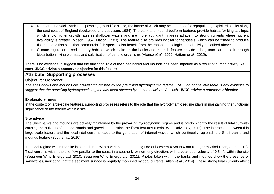- Nutrition Berwick Bank is a spawning ground for plaice, the larvae of which may be important for repopulating exploited stocks along the east coast of England (Lockwood and Lucassen, 1984). The bank and mound bedform features provide habitat for king scallops, which show higher growth rates in shallower waters and are more abundant in areas adjacent to strong currents where nutrient availability is greater (Mason, 1957; Mason, 1983). The feature also provides habitat for sandeels, which can be fished to produce fishmeal and fish oil. Other commercial fish species also benefit from the enhanced biological productivity described above.
- Climate regulation sedimentary habitats which make up the banks and mounds feature provide a long-term carbon sink through bioturbation, living biomass and calcification of benthic organisms (Alonso *et al.,* 2012, Hattam *et al.,* 2015).

There is no evidence to suggest that the functional role of the Shelf banks and mounds has been impaired as a result of human activity. As such, **JNCC advise a conserve objective** for this feature.

# **Attribute: Supporting processes**

#### **Objective: Conserve**

*The shelf banks and mounds are actively maintained by the prevailing hydrodynamic regime. JNCC do not believe there is any evidence to suggest that the prevailing hydrodynamic regime has been affected by human activities. As such, JNCC advise a conserve objective.*

#### **Explanatory notes**

In the context of large-scale features, supporting processes refers to the role that the hydrodynamic regime plays in maintaining the functional significance of the feature within a site.

#### **Site advice**

The Shelf banks and mounds are actively maintained by the prevailing hydrodynamic regime and is predominantly the result of tidal currents causing the build-up of subtidal sands and gravels into distinct bedform features (Heriot-Watt University, 2012). The interaction between this large-scale feature and the local tidal currents leads to the generation of internal waves, which continually replenish the Shelf banks and mounds feature (Scott *et al.,* 2010).

<span id="page-33-0"></span>The tidal regime within the site is semi-diurnal with a variable mean spring tide of between 4.5m to 4.8m (Seagreen Wind Energy Ltd, 2010). Tidal currents within the site flow parallel to the coast in a southerly or northerly direction, with a peak tidal velocity of 0.5m/s within the site (Seagreen Wind Energy Ltd, 2010; Seagreen Wind Energy Ltd, 2011). Photos taken within the banks and mounds show the presence of sandwaves, indicating that the sediment surface is regularly mobilised by tidal currents (Allen *et al*., 2014). These strong tidal currents affect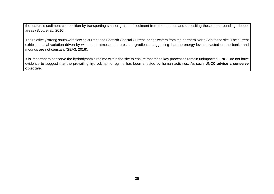the feature's sediment composition by transporting smaller grains of sediment from the mounds and depositing these in surrounding, deeper areas (Scott *et al.,* 2010).

The relatively strong southward flowing current, the Scottish Coastal Current, brings waters from the northern North Sea to the site. The current exhibits spatial variation driven by winds and atmospheric pressure gradients, suggesting that the energy levels exacted on the banks and mounds are not constant (SEA3, 2016).

<span id="page-34-0"></span>It is important to conserve the hydrodynamic regime within the site to ensure that these key processes remain unimpacted. JNCC do not have evidence to suggest that the prevailing hydrodynamic regime has been affected by human activities. As such, J**NCC advise a conserve objective.**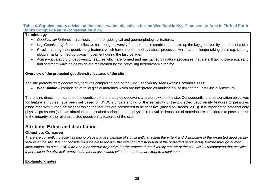#### **Table 4. Supplementary advice on the conservation objectives for the Wee Bankie Key Geodiversity Area in Firth of Forth Banks Complex Nature Conservation MPA.**

#### **Terminology**

- *Geodiversity features*  a collective term for geological and geomorphological features.
- *Key Geodiversity Area* a collective term for geodiversity features that in combination make up the key geodiversity interests of a site.
- Relict a category of geodiversity features which have been formed by natural processes which are no longer taking place e.g. iceberg plough marks formed by glacial movement during the last ice age.
- *Active*  a category of geodiversity features which are formed and maintained by natural processes that are still taking place e.g. sand and sediment wave fields which are maintained by the prevailing hydrodynamic regime.

#### **Overview of the protected geodiversity features of the site**

The site protects relict geodiversity features comprising one of the Key Geodiversity Areas within Scotland's seas:

• **Wee Bankie –** comprising of relict glacial moraines which are interpreted as marking an ice limit of the Last Glacial Maximum.

There is no direct information on the condition of the protected geodiversity features within the site. Consequently, the conservation objectives for feature attributes have been set based on JNCC's understanding of the sensitivity of the protected geodiversity features to pressures associated with human activities to which the features are considered to be sensitive (based on Brooks*,* 2013). It is important to note that only physical pressures (such as abrasion to the seabed surface and the physical removal or deposition of material) are considered to pose a threat to the integrity of the relict protected geodiversity features of the site.

# **Attribute: Extent and distribution**

# **Objective: Conserve**

*There are currently no activities taking place that are capable of significantly affecting the extent and distribution of the protected geodiversity feature of the site. It is not considered possible to recover the extent and distribution of the protected geodiversity feature through human intervention. As such, JNCC advise a conserve objective for the protected geodiversity feature of the site. JNCC recommend that activities that result in the physical removal of material associated with the moraines are kept to a minimum.*

#### <span id="page-35-0"></span>**Explanatory notes**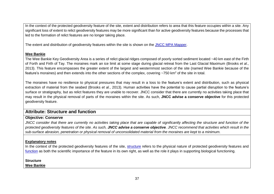In the context of the protected geodiversity feature of the site, extent and distribution refers to area that this feature occupies within a site. Any significant loss of extent to relict geodiversity features may be more significant than for active geodiversity features because the processes that led to the formation of relict features are no longer taking place.

The extent and distribution of geodiversity features within the site is shown on the [JNCC MPA Mapper.](http://jncc.defra.gov.uk/default.aspx?page=5201&LAYERS=TwelveTS%2CUKCS%2CQOS_P_Poly%2CncMPA&zoom=8&Y=56.43221&X=-1.65938)

#### **Wee Bankie**

The Wee Bankie Key Geodiversity Area is a series of relict glacial ridges composed of poorly sorted sediment located ~40 km east of the Firth of Forth and Firth of Tay. The moraines mark an ice limit at some stage during glacial retreat from the Last Glacial Maximum (Brooks *et al*., 2013). This feature encompasses the greater extent of the largest and westernmost section of the site (named Wee Bankie because of the feature's moraines) and then extends into the other sections of the complex, covering  $\sim$ 750 km<sup>2</sup> of the site in total.

The moraines have no resilience to physical pressures that may result in a loss to the feature's extent and distribution, such as physical extraction of material from the seabed (Brooks *et al*., 2013). Human activities have the potential to cause partial disruption to the feature's surface or stratigraphy, but as relict features they are unable to recover. JNCC consider that there are currently no activities taking place that may result in the physical removal of parts of the moraines within the site. As such, **JNCC advise a conserve objective** for this protected geodiversity feature.

# **Attribute: Structure and function**

#### **Objective: Conserve**

*JNCC consider that there are currently no activities taking place that are capable of significantly affecting the structure and function of the protected geodiversity features of the site. As such, JNCC advise a conserve objective. JNCC recommend that activities which result in the sub-surface abrasion, penetration or physical removal of unconsolidated material from the moraines are kept to a minimum.* 

#### **Explanatory notes**

In the context of the protected geodiversity features of the site, [structure](#page-36-2) refers to the physical nature of protected geodiversity features and [function](#page-37-1) as both the scientific importance of the feature in its own right, as well as the role it plays in supporting biological functioning.

<span id="page-36-2"></span>**Structure** 

<span id="page-36-1"></span><span id="page-36-0"></span>**Wee Bankie**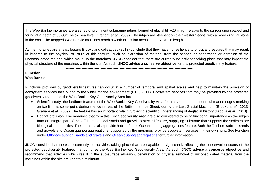The Wee Bankie moraines are a series of prominent submarine ridges formed of glacial till ~20m high relative to the surrounding seabed and found at a depth of 50-30m below sea level (Graham *et al.,* 2009). The ridges are steepest on their western edge, with a more gradual slope in the east. The mapped Wee Bankie moraines reach a width of ~20km across and ~70km in length.

As the moraines are a relict feature Brooks and colleagues (2013) conclude that they have no resilience to physical pressures that may result in impacts to the physical structure of this feature, such as extraction of material from the seabed or penetration or abrasion of the unconsolidated material which make up the moraines. JNCC consider that there are currently no activities taking place that may impact the physical structure of the moraines within the site. As such, **JNCC advise a conserve objective** for this protected geodiversity feature.

-----------------------------------------------------------------------------------------------------------

# <span id="page-37-1"></span>**Function**

### **Wee Bankie**

Functions provided by geodiversity features can occur at a number of temporal and spatial scales and help to maintain the provision of ecosystem services locally and to the wider marine environment (ETC, 2011). Ecosystem services that may be provided by the protected geodiversity features of the Wee Bankie Key Geodiversity Area include:

- Scientific study: the bedform features of the Wee Bankie Key Geodiversity Area form a series of prominent submarine ridges marking an ice limit at some point during the ice retreat of the British-Irish Ice Sheet, during the Last Glacial Maximum (Brooks *et al.,* 2013, Graham *et al*., 2009). The feature has an important role in furthering scientific understanding of deglacial history (Brooks *et al.,* 2013).
- Habitat provision: The moraines that form this Key Geodiversity Area are also considered to be of functional importance as the ridges form an integral part of the Offshore subtidal sands and gravels protected feature, supplying substrate that supports the sedimentary biological communities. The moraines also provide habitat for the Ocean quahog aggregations feature. Both the Offshore subtidal sands and gravels and Ocean quahog aggregations, supported by the moraines, provide ecosystem services in their own right. See Function under [Offshore subtidal sands and gravels](#page-13-2) and [Ocean quahog](#page-24-3) aggregations for further information.

<span id="page-37-0"></span>JNCC consider that there are currently no activities taking place that are capable of significantly affecting the conservation status of the protected geodiversity features that comprise the Wee Bankie Key Geodiversity Area. As such, **JNCC advise a conserve objective** and recommend that activities which result in the sub-surface abrasion, penetration or physical removal of unconsolidated material from the moraines within the site are kept to a minimum.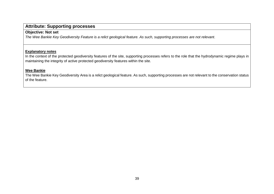# **Attribute: Supporting processes**

# **Objective: Not set**

*The Wee Bankie Key Geodiversity Feature is a relict geological feature. As such, supporting processes are not relevant*.

#### **Explanatory notes**

In the context of the protected geodiversity features of the site, supporting processes refers to the role that the hydrodynamic regime plays in maintaining the integrity of active protected geodiversity features within the site.

#### **Wee Bankie**

<span id="page-38-0"></span>The Wee Bankie Key Geodiversity Area is a relict geological feature. As such, supporting processes are not relevant to the conservation status of the feature.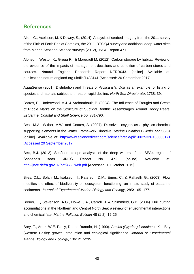# <span id="page-39-0"></span>**References**

Allen, C., Axelsson, M. & Dewey, S., (2014), Analysis of seabed imagery from the 2011 survey of the Firth of Forth Banks Complex, the 2011 IBTS Q4 survey and additional deep-water sites from Marine Scotland Science surveys (2012), JNCC Report 471.

Alonso I., Weston K., Gregg R., & Morecroft M. (2012). Carbon storage by habitat: Review of the evidence of the impacts of management decisions and condition of carbon stores and sources. Natural England Research Report NERR043. [online] Available at: publications.naturalengland.org.uk/file/1438141 [Accessed: 20 September 2017]

AquaSense (2001). Distribution and threats of *Arctica islandica* as an example for listing of species and habitats subject to threat or rapid decline. *North Sea Directorate*, 1738: 39.

Barros, F., Underwood, A.J. & Archambault, P. (2004). The Influence of Troughs and Crests of Ripple Marks on the Structure of Subtidal Benthic Assemblages Around Rocky Reefs. *Estuarine, Coastal and Shelf Science* 60: 781-790.

Best, M.A., Wither, A.W. and Coates, S. (2007). Dissolved oxygen as a physico-chemical supporting elements in the Water Framework Directive. *Marine Pollution Bulletin*, 55: 53-64 [online]. Available at: <http://www.sciencedirect.com/science/article/pii/S0025326X06003171> [Accessed 20 September 2017].

Bett, B.J. (2012). Seafloor biotope analysis of the deep waters of the SEA4 region of Scotland's seas. JNCC Report No. 472. [online] Available at: [http://jncc.defra.gov.uk/pdf/472\\_web.pdf](http://jncc.defra.gov.uk/pdf/472_web.pdf) [Accessed: 10 October 2015]

Biles, C.L., Solan, M., Isaksson, I., Paterson, D.M., Emes, C., & Raffaelli, G., (2003). Flow modifies the effect of biodiversity on ecosystem functioning: an in-situ study of estuarine sediments, *Journal of Experimental Marine Biology and Ecology*, 285**:** 165 -177.

Breuer, E., Stevenson, A.G., Howe, J.A., Carroll, J. & Shimmield, G.B. (2004). Drill cutting accumulations in the Northern and Central North Sea: a review of environmental interactions and chemical fate. *Marine Pollution Bulletin* 48 (1-2): 12-25.

Brey, T., Arntz, W.E. Pauly, D. and Rumohr, H. (1990). *Arctica (Cyprina) islandica* in Kiel Bay (western Baltic): growth, production and ecological significance. *Journal of Experimental Marine Biology and Ecology*, 136: 217-235.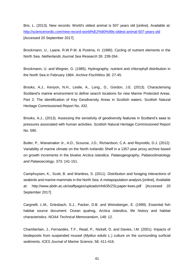Brix, L. (2013). New records: World's oldest animal is 507 years old [online]. Available at: <http://sciencenordic.com/new-record-world%E2%80%99s-oldest-animal-507-years-old> [Accessed 20 September 2017].

Brockmann, U., Laane, R.W.P.M. & Postma, H. (1990). Cycling of nutrient elements in the North Sea. *Netherlands Journal Sea Research* 26: 239-264.

Brockmann, U. and Wegner, G. (1985). Hydrography, nutrient and chlorophyll distribution in the North Sea in February 1984. *Archive FischWiss* 36: 27-45.

Brooks, A.J., Kenyon, N.H., Leslie, A., Long., D., Gordon, J.E. (2013). Characterising Scotland's marine environment to define search locations for new Marine Protected Areas. Part 2: The identification of Key Geodiversity Areas in Scottish waters. Scottish Natural Heritage Commissioned Report No. 432.

Brooks, A.J., (2013). Assessing the sensitivity of geodiversity features in Scotland's seas to pressures associated with human activities. Scottish Natural Heritage Commissioned Report No. 590.

Butler, P., Wanamaker Jr., A.D., Scourse, J.D., Richardson, C.A. and Reynolds, D.J. (2012). Variability of marine climate on the North Icelandic Shelf in a 1357-year proxy archive based on growth increments in the bivalve *Arctica islandica*. *Palaeogeography, Palaeoclimatology and Palaeoecology*, 373: 141-151.

Camphuysen, K., Scott, B. and Wanless, S. (2011). Distribution and foraging interactions of seabirds and marine mammals in the North Sea: A metapopulation analysis [online]. Available at: <http://www.abdn.ac.uk/staffpages/uploads/nhi635/ZSLpaper-kees.pdf> [Accessed 20 September 2017].

Cargnelli, L.M., Griesbach, S.J., Packer, D.B. and Weissberger, E. (1999). Essential fish habitat source document: Ocean quahog, *Arctica islandica*, life history and habitat characteristics. *NOAA Technical Memorandum*, 148: 12.

Chamberlain, J., Fernandes, T.F., Read, P., Nickell, D. and Davies, I.M. (2001). Impacts of biodeposits from suspended mussel (*Mytilus edulis* L.) culture on the surrounding surficial sediments. *ICES Journal of Marine Science*, 58: 411-416.

41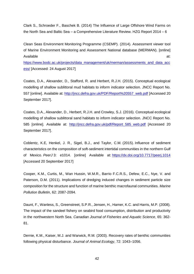Clark S., Schroeder F., Baschek B. (2014) The Influence of Large Offshore Wind Farms on the North Sea and Baltic Sea – a Comprehensive Literature Review. HZG Report 2014 – 6

Clean Seas Environment Monitoring Programme (CSEMP). (2014). Assessment viewer tool of Marine Environment Monitoring and Assessment National database (MERMAN). [online] Available at:

[https://www.bodc.ac.uk/projects/data\\_management/uk/merman/assessments\\_and\\_data\\_acc](https://www.bodc.ac.uk/projects/data_management/uk/merman/assessments_and_data_access/) [ess/](https://www.bodc.ac.uk/projects/data_management/uk/merman/assessments_and_data_access/) [Accessed: 24 August 2017]

Coates, D.A., Alexander, D., Stafford, R. and Herbert, R.J.H. (2015). Conceptual ecological modelling of shallow sublittoral mud habitats to inform indicator selection. JNCC Report No. 557 [online]. Available at: [http://jncc.defra.gov.uk/PDF/Report%20557\\_web.pdf](http://jncc.defra.gov.uk/PDF/Report%20557_web.pdf) [Accessed 20 September 2017].

Coates, D.A., Alexander, D., Herbert, R.J.H. and Crowley, S.J. (2016). Conceptual ecological modelling of shallow sublittoral sand habitats to inform indicator selection. JNCC Report No. 585 [online]. Available at: [http://jncc.defra.gov.uk/pdf/Report\\_585\\_web.pdf](http://jncc.defra.gov.uk/pdf/Report_585_web.pdf) [Accessed 20 September 2017].

Coblentz, K.E, Henkel, J. R., Sigel, B.J., and Taylor, C.M. (2015). Influence of sediment characteristics on the composition of soft-sediment intertidal communities in the northern Gulf of Mexico. *PeerJ* 3: e1014. [online] Available at: <https://dx.doi.org/10.7717/peerj.1014> [Accessed 20 September 2017]

Cooper, K.M., Curtis, M., Wan Hussin, W.M.R., Barrio F.C.R.S., Defew, E.C., Nye, V. and Paterson, D.M. (2011). Implications of dredging induced changes in sediment particle size composition for the structure and function of marine benthic macrofaunal communities. *Marine Pollution Bulletin*, 62: 2087-2094.

Daunt, F., Wanless, S., Greenstreet, S.P.R., Jensen, H., Hamer, K.C. and Harris, M.P. (2008). The impact of the sandeel fishery on seabird food consumption, distribution and productivity in the northwestern North Sea. *Canadian Journal of Fisheries and Aquatic Science*, 65: 362- 81.

Dernie, K.M., Kaiser, M.J. and Warwick, R.M. (2003). Recovery rates of benthic communities following physical disturbance. *Journal of Animal Ecology*, 72: 1043–1056.

42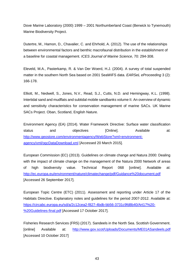Dove Marine Laboratory (2000) 1999 – 2001 Northumberland Coast (Berwick to Tynemouth) Marine Biodiversity Project.

Dutertre, M., Hamon, D., Chavalier, C. and Ehrhold, A. (2012). The use of the relationships between environmental factors and benthic macrofaunal distribution in the establishment of a baseline for coastal management. *ICES Journal of Marine Science*, 70: 294-308.

Eleveld, M.A., Pasterkamp, R. & Van Der Woerd, H.J. (2004). A survey of total suspended matter in the southern North Sea based on 2001 SeaWiFS data. *EARSeL eProceeding* 3 (2): 166-178.

Elliott, M., Nedwell, S., Jones, N.V., Read, S.J., Cutts, N.D. and Hemingway, K.L. (1998). Intertidal sand and mudflats and subtidal mobile sandbanks volume II. An overview of dynamic and sensitivity characteristics for conservation management of marine SACs. UK Marine SACs Project. Oban, Scotland, English Nature.

Environment Agency (EA) (2014). Water Framework Directive: Surface water classification status and objectives [Online]. Available at: [http://www.geostore.com/environmentagency/WebStore?xml=environment](http://www.geostore.com/environmentagency/WebStore?xml=environment-agency/xml/ogcDataDownload.xml)[agency/xml/ogcDataDownload.xml](http://www.geostore.com/environmentagency/WebStore?xml=environment-agency/xml/ogcDataDownload.xml) [Accessed 20 March 2015].

European Commission (EC) (2013). Guidelines on climate change and Natura 2000: Dealing with the impact of climate change on the management of the Natura 2000 Network of areas of high biodiversity value. Technical Report 068 [online]. Available at: <http://ec.europa.eu/environment/nature/climatechange/pdf/Guidance%20document.pdf> [Accessed 26 September 2017].

European Topic Centre (ETC) (2011). Assessment and reporting under Article 17 of the Habitats Directive. Explanatory notes and guidelines for the period 2007-2012. Available at: [https://circabc.europa.eu/sd/a/2c12cea2-f827-4bdb-bb56-3731c9fd8b40/Art17%20-](https://circabc.europa.eu/sd/a/2c12cea2-f827-4bdb-bb56-3731c9fd8b40/Art17%20-%20Guidelines-final.pdf) [%20Guidelines-final.pdf](https://circabc.europa.eu/sd/a/2c12cea2-f827-4bdb-bb56-3731c9fd8b40/Art17%20-%20Guidelines-final.pdf) [Accessed 17 October 2017].

Fisheries Research Services (FRS) (2017). Sandeels in the North Sea. Scottish Government. [online] Available at: <http://www.gov.scot/Uploads/Documents/ME01ASandeels.pdf> [Accessed 10 October 2017]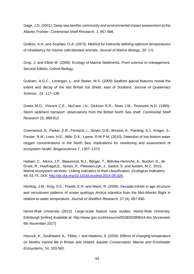Gage, J.D. (2001). Deep-sea benthic community and environmental impact assessment at the Atlantic Frontier. *Continental Shelf Research*, 1, 957-986

Golikov, A.N. and Scarlato, O.A. (1973). Method for indirectly defining optimum temperatures of inhabitancy for marine cold-blooded animals. *Journal of Marine Biology*, 20: 1-5.

Gray, J. and Elliott M. (2009). Ecology of Marine Sediments: From science to management, Second Edition, Oxford Biology.

Graham, A.G.C., Lonergan, L. and Stoker, M.S. (2009) Seafloor glacial features reveal the extent and decay of the last British Ice Sheet, east of Scotland. *Journal of Quaternary Science.*, 24, 117–138

Green M.O., Vincent C.E., McCave I.N., Dickson R.R., Rees J.M., Pearsons N.D. (1995). Storm sediment transport: observations from the British North Sea shelf*. Continental Shelf Research* 15, 889-912

Greenwood, N., Parker, E.R., Fernand, L., Sivyer, D.B., Weston, K., Painting, S.J., Kröger, S., Forster, R.M., Lees, H.E., Mills, D.K., Laane, R.W.P.M. (2010). Detection of low bottom water oxygen concentrations in the North Sea; implications for monitoring and assessment of ecosystem health. *Biogeoscience* 7, 1357–1373

Hattam, C., Atkins, J.P., Beaumont, N.J., Bӧrger, T., Bӧhnke-Henrichs, A., Burdon, D., de Groot, R., Hoefnagel,E., Nunes, P., Piwowarczyk, J., Sastre, S. and Austen, M.C. 2015. Marine ecosystem services: Linking indicators to their classification. *Ecological Indicators*, 49: 61-75. DOI: [http://dx.doi.org/10.1016/j.ecolind.2014.09.026.](http://dx.doi.org/10.1016/j.ecolind.2014.09.026)

Harding, J.M., King, S.E., Powell, E.N. and Mann, R. (2008). Decadal trends in age structure and recruitment patterns of ocean quahogs *Arctica islandica* from the Mid-Atlantic Bight in relation to water temperature. *Journal of Shellfish Research*, 27 (4), 667-690.

Heriot-Watt University (2012). Large-scale feature case studies. Heriot-Watt University, Edinburgh [online] Available at:<http://www.gov.scot/resource/0038/00389524.doc> [Accessed: 6th November 2017]

Hiscock, K., Southward, A., Tittley, I. and Hawkins, S. (2004). Effects of changing temperature on benthic marine life in Britain and Ireland. *Aquatic Conservation: Marine and Freshwater Ecosystems*, 14: 333-362.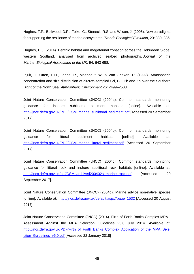Hughes, T.P., Bellwood, D.R., Folke, C., Steneck, R.S. and Wilson, J. (2005). New paradigms for supporting the resilience of marine ecosystems. *Trends Ecological Evolution*, 20: 380–386.

Hughes, D.J. (2014). Benthic habitat and megafaunal zonation across the Hebridean Slope, western Scotland, analysed from archived seabed photographs. *Journal of the Marine Biological Association of the UK,* 94: 643-658.

Injuk, J., Otten, P.H., Lanne, R., Maenhaut, W. & Van Grieken, R. (1992). Atmospheric concentration and size distribution of aircraft-sampled Cd, Cu, Pb and Zn over the Southern Bight of the North Sea. *Atmospheric Environment* 26: 2499–2508.

Joint Nature Conservation Committee (JNCC) (2004a). Common standards monitoring guidance for inshore sublittoral sediment habitats [online]. Available at: [http://jncc.defra.gov.uk/PDF/CSM\\_marine\\_sublittoral\\_sediment.pdf](http://jncc.defra.gov.uk/pdf/CSM_archived200402s_marine_rock.pdf) [Accessed 20 September 2017].

Joint Nature Conservation Committee (JNCC) (2004b). Common standards monitoring guidance for littoral sediment habitats [online]. Available at: [http://jncc.defra.gov.uk/PDF/CSM\\_marine\\_littoral\\_sediment.pdf](http://jncc.defra.gov.uk/PDF/CSM_marine_littoral_sediment.pdf) [Accessed 20 September 2017].

Joint Nature Conservation Committee (JNCC) (2004c). Common standards monitoring guidance for littoral rock and inshore sublittoral rock habitats [online]. Available at: [http://jncc.defra.gov.uk/pdf/CSM\\_archived200402s\\_marine\\_rock.pdf](http://jncc.defra.gov.uk/pdf/CSM_archived200402s_marine_rock.pdf) [Accessed 20 September 2017].

Joint Nature Conservation Committee (JNCC) (2004d). Marine advice non-native species [online]. Available at:<http://jncc.defra.gov.uk/default.aspx?page=1532> [Accessed 20 August 2017].

Joint Nature Conservation Committee (JNCC) (2014). Firth of Forth Banks Complex MPA - Assessment Against the MPA Selection Guidelines v5.0 July 2014. Available at: [http://jncc.defra.gov.uk/PDF/Firth\\_of\\_Forth\\_Banks\\_Complex\\_Application\\_of\\_the\\_MPA\\_Sele](http://jncc.defra.gov.uk/PDF/Firth_of_Forth_Banks_Complex_Application_of_the_MPA_Selection_Guidelines_v5.0.pdf) [ction\\_Guidelines\\_v5.0.pdf](http://jncc.defra.gov.uk/PDF/Firth_of_Forth_Banks_Complex_Application_of_the_MPA_Selection_Guidelines_v5.0.pdf) [Accessed 22 January 2018]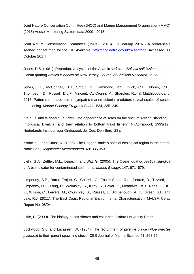Joint Nature Conservation Committee (JNCC) and Marine Management Organisation (MMO) (2015) Vessel Monitoring System data 2009 - 2015.

Joint Nature Conservation Committee (JNCC) (2016). UKSeaMap 2016 - a broad-scale seabed habitat map for the UK, Available:<http://jncc.defra.gov.uk/ukseamap> [Accessed: 11 October 2017]

Jones, D.S. (1981). Reproductive cycles of the Atlantic surf clam *Spisula solidissima*, and the Ocean quahog *Arctica islandica* off New Jersey. *Journal of Shellfish Research*, 1: 23-32.

Jones, E.L., McConnell, B.J., Smout, S., Hammond, P.S., Duck, C.D., Morris, C.D., Thompson, D., Russell, D.J.F., Vincent, C., Cronin, M., Sharples, R.J. & Matthiopoulos, J. 2015. Patterns of space use in sympatric marine colonial predators reveal scales of spatial partitioning. *Marine Ecology Progress Series.* 534, 235–249.

Klein, R. and Witbaard, R. 1993. The appearance of scars on the shell of Arctica islandica L. (mollusca, Bivalvia) and their relation to bottom trawl fishery. NIOZ-rapport, 1993(12). Nederlands Instituut voor Onderzoek der Zee: Den Burg. 28 p

Kröncke, I. and Knust, R. (1995). The Dogger Bank: a special ecological region in the central North Sea. *Helgoländer Meeresunters,* 49: 335-353

Liehr, G.A., Zettler, M.L., Leipe, T. and Witt, G. (2005). The Ocean quahog *Arctica islandica* L: A bioindicator for contaminated sediments. *Marine Biology*, 147: 671–679.

Limpenny, S.E., Barrio Frojan, C., Cotterill, C., Foster-Smith, R.L., Pearce, B., Tizzard, L., Limpenny, D.L., Long, D., Walmsley, S., Kirby, S., Baker, K., Meadows, W.J., Rees, J., Hill, K., Wilson, C., Leivers, M., Churchley, S., Russell, J., Birchenough, A. C., Green, S.L. and Law, R.J. (2011). The East Coast Regional Environmental Characterisation. MALSF. Cefas Report No. 08/04.

Little, C. (2000). The biology of soft shores and estuaries, Oxford University Press.

Lockwood, S.L, and Lucassen, W. (1984). The recruitment of juvenile plaice (*Plueronectes platessa*) to their parent spawning stock. ICES Journal of Marine Science 41: 268-75.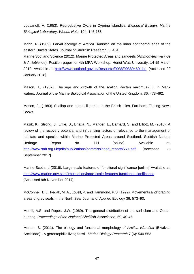Loosanoff, V. (1953). Reproductive Cycle in Cyprina islandica. *Biological Bulletin, Marine Biological Laboratory, Woods Hole*, 104: 146-155.

Mann, R. (1989). Larval ecology of *Arctica islandica* on the inner continental shelf of the eastern United States. Journal of Shellfish Research, 8: 464.

Marine Scotland Science (2012). Marine Protected Areas and sandeels (*Ammodytes marinus* & *A. tobianus*). Position paper for 4th MPA Workshop, Heriot-Watt University, 14-15 March 2012. Available at: [http://www.scotland.gov.uk/Resource/0038/00389460.doc.](http://www.scotland.gov.uk/Resource/0038/00389460.doc) [Accessed 22 January 2018]

Mason, J., (1957). The age and growth of the scallop, Pecten maximus (L.), in Manx waters. Journal of the Marine Biological Association of the United Kingdom, 36: 473-492.

Mason, J., (1983). Scallop and queen fisheries in the British Isles. Farnham: Fishing News Books.

Mazik, K., Strong, J., Little, S., Bhatia, N., Mander, L., Barnard, S. and Elliott, M. (2015). A review of the recovery potential and influencing factors of relevance to the management of habitats and species within Marine Protected Areas around Scotland. Scottish Natural Heritage Report No. 771 [online]. Available at: [http://www.snh.org.uk/pdfs/publications/commissioned\\_reports/771.pdf](http://www.snh.org.uk/pdfs/publications/commissioned_reports/771.pdf) [Accessed 20 September 2017].

Marine Scotland (2016). Large-scale features of functional significance [online] Available at: <http://www.marine.gov.scot/information/large-scale-features-functional-significance> [Accessed 9th November 2017]

McConnell, B.J., Fedak, M. A., Lovell, P. and Hammond, P.S. (1999). Movements and foraging areas of grey seals in the North Sea. Journal of Applied Ecology 36: 573–90.

Merrill, A.S. and Ropes, J.W. (1969). The general distribution of the surf clam and Ocean quahog. *Proceedings of the National Shellfish Association*, 59: 40-45.

Morton, B. (2011). The biology and functional morphology of *Arctica islandica* (Bivalvia: Arcticidae) - A gerontophilic living fossil. *Marine Biology Research* 7 (6): 540-553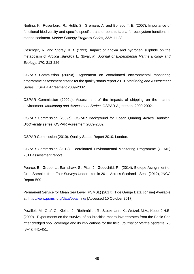Norling, K., Rosenburg, R., Hulth, S., Gremare, A. and Bonsdorff, E. (2007). Importance of functional biodiversity and specific-specific traits of benthic fauna for ecosystem functions in marine sediment. *Marine Ecology Progress Series*, 332: 11-23.

Oeschger, R. and Storey, K.B. (1993). Impact of anoxia and hydrogen sulphide on the metabolism of *Arctica islandica* L. (Bivalvia). *Journal of Experimental Marine Biology and Ecology*, 170: 213-226.

OSPAR Commission (2009a). Agreement on coordinated environmental monitoring programme assessment criteria for the quality status report 2010. *Monitoring and Assessment Series*. OSPAR Agreement 2009-2002.

OSPAR Commission (2009b). Assessment of the impacts of shipping on the marine environment. *Monitoring and Assessment Series*. OSPAR Agreement 2009-2002.

OSPAR Commission (2009c). OSPAR Background for Ocean Quahog *Arctica islandica*. *Biodiversity series*. OSPAR Agreement 2009-2002.

OSPAR Commission (2010). Quality Status Report 2010. London.

OSPAR Commission (2012). Coordinated Environmental Monitoring Programme (CEMP) 2011 assessment report.

Pearce, B., Grubb, L., Earnshaw, S., Pitts, J., Goodchild, R., (2014), Biotope Assignment of Grab Samples from Four Surveys Undertaken in 2011 Across Scotland's Seas (2012), JNCC Report 509

Permanent Service for Mean Sea Level (PSMSL) (2017). Tide Gauge Data, [online] Available at:<http://www.psmsl.org/data/obtaining/> [Accessed 10 October 2017]

Powilleit, M., Graf, G., Kleine, J., Riethmüller, R., Stockmann, K., Wetzel, M.A., Koop, J.H.E. (2009). Experiments on the survival of six brackish macro-invertebrates from the Baltic Sea after dredged spoil coverage and its implications for the field. *Journal of Marine Systems*, 75 (3–4): 441-451.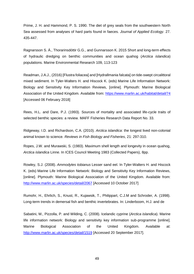Prime, J. H. and Hammond, P. S. 1990. The diet of grey seals from the southwestern North Sea assessed from analyses of hard parts found in faeces. *Journal of Applied Ecology*. 27. 435-447.

[Ragnarsson S. Á.](https://www.ncbi.nlm.nih.gov/pubmed/?term=Ragnarsson%20S%C3%81%5BAuthor%5D&cauthor=true&cauthor_uid=26149090), [Thorarinsdóttir G.G.](https://www.ncbi.nlm.nih.gov/pubmed/?term=Thorarinsd%C3%B3ttir%20GG%5BAuthor%5D&cauthor=true&cauthor_uid=26149090), and [Gunnarsson K.](https://www.ncbi.nlm.nih.gov/pubmed/?term=Gunnarsson%20K%5BAuthor%5D&cauthor=true&cauthor_uid=26149090) 2015 Short and long-term effects of hydraulic dredging on benthic communities and ocean quahog (*Arctica islandica*) populations. Marine Environmental Research 109, 113-123

Readman, J.A.J., (2016) [Flustra foliacea] and [Hydrallmania falcata] on tide-swept circalittoral mixed sediment. In Tyler-Walters H. and Hiscock K. (eds) Marine Life Information Network: Biology and Sensitivity Key Information Reviews, [online]. Plymouth: Marine Biological Association of the United Kingdom. Available from:<https://www.marlin.ac.uk/habitat/detail/74> [Accessed 06 February 2018]

Rees, H.L. and Dare, P.J. (1993). Sources of mortality and associated life-cycle traits of selected benthic species: a review. MAFF Fisheries Research Data Report No. 33.

Ridgeway, I.D. and Richardson, C.A. (2010). *Arctica islandica*: the longest lived non-colonial animal known to science. *Reviews in Fish Biology and Fisheries*, 21: 297-310.

Ropes, J.W. and Murawski, S. (1983). Maximum shell length and longevity in ocean quahog, *Arctica islandica* Linne. In ICES Council Meeting 1983 (Collected Papers), 8pp.

Rowley, S.J. (2008). *Ammodytes tobianus* Lesser sand eel. In Tyler-Walters H. and Hiscock K. (eds) Marine Life Information Network: Biology and Sensitivity Key Information Reviews, [online]. Plymouth: Marine Biological Association of the United Kingdom. Available from: <http://www.marlin.ac.uk/species/detail/2067> [Accessed 10 October 2017]

Rumohr, H., Ehrlich, S., Knust, R., Kujawsik, T., Philippart, C.J.M and Schroder, A. (1998). Long-term trends in demersal fish and benthic invertebrates. In: Linderboom, H.J. and de

Sabatini, M., Pizzolla, P. and Wilding, C. (2008). Icelandic cyprine (*Arctica islandica*). Marine life information network: Biology and sensitivity key information sub-programme [online]. Marine Biological Association of the United Kingdom. Available at: <http://www.marlin.ac.uk/species/detail/1519> [Accessed 20 September 2017].

49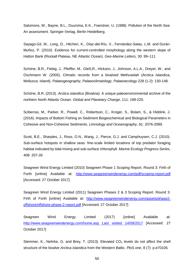Salomons, W., Bayne, B.L., Duursma, E.K., Foerstner, U. (1988). Pollution of the North Sea: An assessment. Springer-Verlag, Berlin Heidelberg.

Sayago-Gil, M., Long, D., Hitchen, K., Díaz-del-Río, V., Fernández-Salas, L.M. and Durán-Muñoz, P. (2010). Evidence for current-controlled morphology along the western slope of Hatton Bank (Rockall Plateau, NE Atlantic Ocean). *Geo-Marine Letters,* 30: 99–111

Schöne, B.R., Fiebig, J., Pfeiffer, M., Gl[eß,](https://www.mendeley.com/authors/49161102700)R., Hickson, J., Johnson, A.L.A., Dreyer, W., and Oschmann W. (2005). Climatic records from a bivalved Methuselah (Arctica islandica, Mollusca; Island). *Palaeogeography, Palaeoclimatology, Palaeoecology* 228 (1-2): 130-148.

Schöne, B.R. (2013). *Arctica islandica* (Bivalvia): A unique paleoenvironmental archive of the northern North Atlantic Ocean. *Global and Planetary Change*, 111: 199-225.

Sciberras, M., Parker, R., Powell, C., Robertson, C., Kroger, S., Bolam, S., & Hiddink, J. (2016). Impacts of Bottom Fishing on Sediment Biogeochemical and Biological Parameters in Cohesive and Non-Cohesive Sediments. *Limnology and Oceanography*, 61: 2076-2089.

Scott, B.E., Sharples, J., Ross, O.N., Wang, J., Pierce, G.J. and Camphuysen, C.J. (2010). Sub-surface hotspots in shallow seas: fine-scale limited locations of top predator foraging habitat indicated by tidal mixing and sub-surface chlorophyll. *Marine Ecology Progress Series,* 408: 207-26

Seagreen Wind Energy Limited (2010) Seagreen Phase 1 Scoping Report. Round 3: Firth of Forth [online] Available at: <http://www.seagreenwindenergy.com/pdf/scoping-report.pdf> [Accessed: 27 October 2017]

Seagreen Wind Energy Limited (2011) Seagreen Phases 2 & 3 Scoping Report. Round 3: Firth of Forth [online] Available at: [http://www.seagreenwindenergy.com/assets/phase2](http://www.seagreenwindenergy.com/assets/phase2-offshore/offshore-phase-2-report.pdf) [offshore/offshore-phase-2-report.pdf](http://www.seagreenwindenergy.com/assets/phase2-offshore/offshore-phase-2-report.pdf) [Accessed: 27 October 2017]

Seagreen Wind Energy Limited (2017) [online] Available at: [http://www.seagreenwindenergy.com/home.asp Last visited 14/09/2017](http://www.seagreenwindenergy.com/home.asp%20Last%20visited%2014/09/2017) [Accessed: 27 October 2017]

Stemmer, K., Nehrke, G. and Brey, T. (2013). Elevated  $CO<sub>2</sub>$  levels do not affect the shell structure of the bivalve *Arctica islandica* from the Western Baltic. *PloS one*, 8 (7): p.e70106.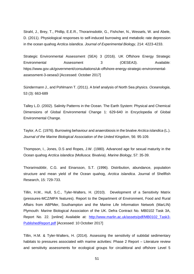Strahl, J., Brey, T., Phillip, E.E.R., Thorarinsdottir, G., Fishcher, N., Wessels, W. and Abele, D. (2011). Physiological responses to self-induced burrowing and metabolic rate depression in the ocean quahog *Arctica islandica*. *Journal of Experimental Biology*, 214: 4223-4233.

Strategic Environmental Assessment (SEA) 3 (2016). UK Offshore Energy Strategic Environmental Assessment 3 (OESEA3). Available: [https://www.gov.uk/government/consultations/uk-offshore-energy-strategic-environmental](https://www.gov.uk/government/consultations/uk-offshore-energy-strategic-environmental-assessment-3-oesea3)[assessment-3-oesea3](https://www.gov.uk/government/consultations/uk-offshore-energy-strategic-environmental-assessment-3-oesea3) [Accessed: October 2017]

Sündermann J., and Pohlmann T. (2011). A brief analysis of North Sea physics. *Oceanologia*, 53 (3): 663-689

Talley L.D. (2002). Salinity Patterns in the Ocean. The Earth System: Physical and Chemical Dimensions of Global Environmental Change 1: 629-640 in Encyclopedia of Global Environmental Change.

Taylor, A.C. (1976). Burrowing behaviour and anaerobiosis in the bivalve *Arctica islandica* (L.). *Journal of the Marine Biological Association of the United Kingdom*, 56: 95-109.

Thompson, I., Jones, D.S and Ropes, J.W. (1980). Advanced age for sexual maturity in the Ocean quahog *Arctica islandica* (Mollusca: Bivalvia). *Marine Biology*, 57: 35-39.

Thorarinsdóttir, C.G. and Einarsson, S.T. (1996). Distribution, abundance, population structure and mean yield of the Ocean quahog, *Arctica islandica*. Journal of Shellfish Research, 15: 729-733.

Tillin, H.M., Hull, S.C., Tyler-Walters, H. (2010). Development of a Sensitivity Matrix (pressures-MCZ/MPA features). Report to the Department of Environment, Food and Rural Affairs from ABPMer, Southampton and the Marine Life Information Network (MarLIN) Plymouth: Marine Biological Association of the UK. Defra Contract No. MB0102 Task 3A, Report No. 22. [online] Available at: [http://www.marlin.ac.uk/assets/pdf/MB0102\\_Task3-](http://www.marlin.ac.uk/assets/pdf/MB0102_Task3-PublishedReport.pdf) [PublishedReport.pdf](http://www.marlin.ac.uk/assets/pdf/MB0102_Task3-PublishedReport.pdf) [Accessed: 10 October 2017]

Tillin, H.M. & Tyler-Walters, H. (2014). Assessing the sensitivity of subtidal sedimentary habitats to pressures associated with marine activities: Phase 2 Report – Literature review and sensitivity assessments for ecological groups for circalittoral and offshore Level 5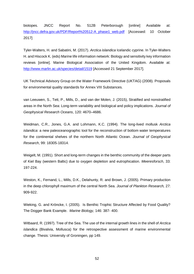biotopes. JNCC Report No. 512B Peterborough [online] Available at: [http://jncc.defra.gov.uk/PDF/Report%20512-A\\_phase1\\_web.pdf](http://jncc.defra.gov.uk/PDF/Report%20512-A_phase1_web.pdf) [Accessed: 10 October 2017]

Tyler-Walters, H. and Sabatini, M. (2017). *Arctica islandica* Icelandic cyprine. In Tyler-Walters H. and Hiscock K. (eds) Marine life information network: Biology and sensitivity key information reviews [online]. Marine Biological Association of the United Kingdom. Available at: <http://www.marlin.ac.uk/species/detail/1519> [Accessed 21 September 2017].

UK Technical Advisory Group on the Water Framework Directive (UKTAG) (2008). Proposals for environmental quality standards for Annex VIII Substances.

van Leeuwen, S., Tett, P., Mills, D., and van der Molen, J. (2015), Stratified and nonstratified areas in the North Sea: Long-term variability and biological and policy implications. *Journal of Geophysical Research Oceans*, 120: 4670–4686.

Weidman, C.R., Jones, G.A. and Lohmann, K.C. (1994). The long-lived mollusk *Arctica islandica*: a new paleoceanographic tool for the reconstruction of bottom water temperatures for the continental shelves of the northern North Atlantic Ocean. *Journal of Geophysical Research*, 99: 18305-18314.

Weigelt, M. (1991). Short and long-term changes in the benthic community of the deeper parts of Kiel Bay (western Baltic) due to oxygen depletion and eutrophication. *Meeresforsch*, 33: 197-224.

Weston, K., Fernand, L., Mills, D.K., Delahunty, R. and Brown, J. (2005). Primary production in the deep chlorophyll maximum of the central North Sea. *Journal of Plankton Research,* 27: 909-922.

Wieking, G. and Kröncke, I. (2005). Is Benthic Trophic Structure Affected by Food Quality? The Dogger Bank Example. *Marine Biology,* 146: 387- 400.

Witbaard, R. (1997). Tree of the Sea. The use of the internal growth lines in the shell of *Arctica islandica* (Bivalvia, Mollusca) for the retrospective assessment of marine environmental change. Thesis: University of Groningen, pp 149.

52